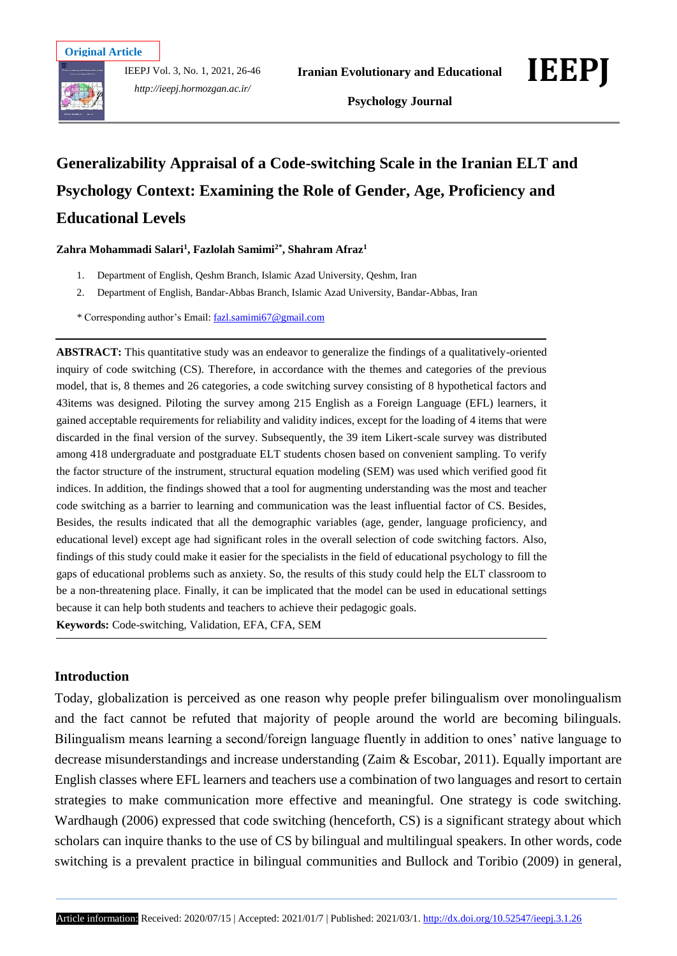



# **Generalizability Appraisal of a Code-switching Scale in the Iranian ELT and Psychology Context: Examining the Role of Gender, Age, Proficiency and Educational Levels**

**Zahra Mohammadi Salari<sup>1</sup> , Fazlolah Samimi2\* , Shahram Afraz<sup>1</sup>** 

- 1. Department of English, Qeshm Branch, Islamic Azad University, Qeshm, Iran
- 2. Department of English, Bandar-Abbas Branch, Islamic Azad University, Bandar-Abbas, Iran
- \* Corresponding author's Email: [fazl.samimi67@gmail.com](mailto:fazl.samimi67@gmail.com)

**ABSTRACT:** This quantitative study was an endeavor to generalize the findings of a qualitatively-oriented inquiry of code switching (CS). Therefore, in accordance with the themes and categories of the previous model, that is, 8 themes and 26 categories, a code switching survey consisting of 8 hypothetical factors and 43items was designed. Piloting the survey among 215 English as a Foreign Language (EFL) learners, it gained acceptable requirements for reliability and validity indices, except for the loading of 4 items that were discarded in the final version of the survey. Subsequently, the 39 item Likert-scale survey was distributed among 418 undergraduate and postgraduate ELT students chosen based on convenient sampling. To verify the factor structure of the instrument, structural equation modeling (SEM) was used which verified good fit indices. In addition, the findings showed that a tool for augmenting understanding was the most and teacher code switching as a barrier to learning and communication was the least influential factor of CS. Besides, Besides, the results indicated that all the demographic variables (age, gender, language proficiency, and educational level) except age had significant roles in the overall selection of code switching factors. Also, findings of this study could make it easier for the specialists in the field of educational psychology to fill the gaps of educational problems such as anxiety. So, the results of this study could help the ELT classroom to be a non-threatening place. Finally, it can be implicated that the model can be used in educational settings because it can help both students and teachers to achieve their pedagogic goals. **Keywords:** Code-switching, Validation, EFA, CFA, SEM

## **Introduction**

Today, globalization is perceived as one reason why people prefer bilingualism over monolingualism and the fact cannot be refuted that majority of people around the world are becoming bilinguals. Bilingualism means learning a second/foreign language fluently in addition to ones' native language to decrease misunderstandings and increase understanding (Zaim & Escobar, 2011). Equally important are English classes where EFL learners and teachers use a combination of two languages and resort to certain strategies to make communication more effective and meaningful. One strategy is code switching. Wardhaugh (2006) expressed that code switching (henceforth, CS) is a significant strategy about which scholars can inquire thanks to the use of CS by bilingual and multilingual speakers. In other words, code switching is a prevalent practice in bilingual communities and Bullock and Toribio (2009) in general,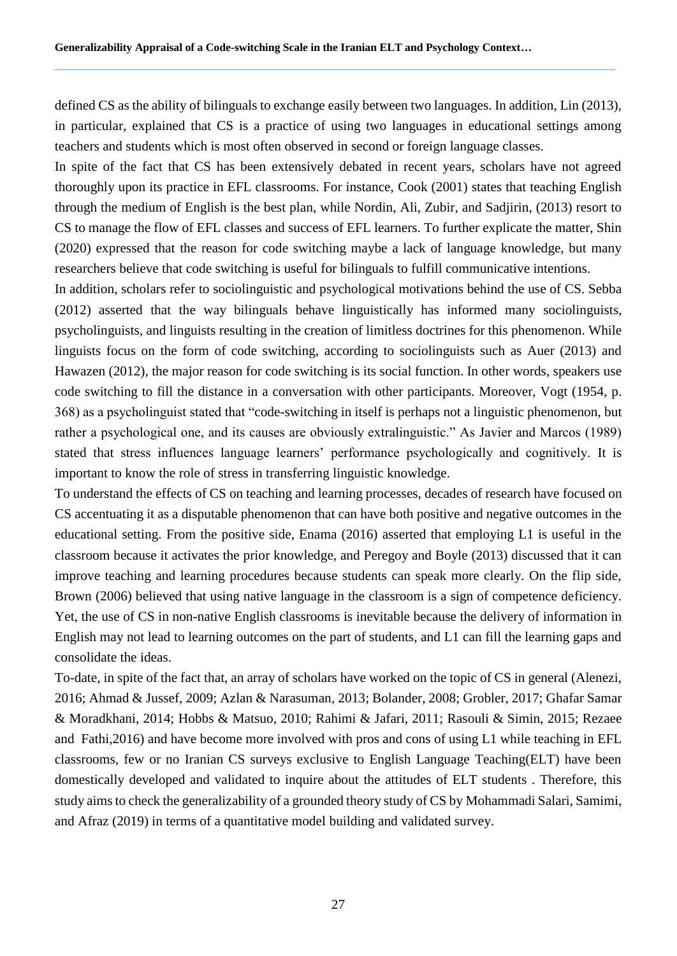defined CS as the ability of bilinguals to exchange easily between two languages. In addition, Lin (2013), in particular, explained that CS is a practice of using two languages in educational settings among teachers and students which is most often observed in second or foreign language classes.

In spite of the fact that CS has been extensively debated in recent years, scholars have not agreed thoroughly upon its practice in EFL classrooms. For instance, Cook (2001) states that teaching English through the medium of English is the best plan, while Nordin, Ali, Zubir, and Sadjirin, (2013) resort to CS to manage the flow of EFL classes and success of EFL learners. To further explicate the matter, Shin (2020) expressed that the reason for code switching maybe a lack of language knowledge, but many researchers believe that code switching is useful for bilinguals to fulfill communicative intentions.

In addition, scholars refer to sociolinguistic and psychological motivations behind the use of CS. Sebba (2012) asserted that the way bilinguals behave linguistically has informed many sociolinguists, psycholinguists, and linguists resulting in the creation of limitless doctrines for this phenomenon. While linguists focus on the form of code switching, according to sociolinguists such as Auer (2013) and Hawazen (2012), the major reason for code switching is its social function. In other words, speakers use code switching to fill the distance in a conversation with other participants. Moreover, Vogt (1954, p. 368) as a psycholinguist stated that "code-switching in itself is perhaps not a linguistic phenomenon, but rather a psychological one, and its causes are obviously extralinguistic." As Javier and Marcos (1989) stated that stress influences language learners' performance psychologically and cognitively. It is important to know the role of stress in transferring linguistic knowledge.

To understand the effects of CS on teaching and learning processes, decades of research have focused on CS accentuating it as a disputable phenomenon that can have both positive and negative outcomes in the educational setting. From the positive side, Enama (2016) asserted that employing L1 is useful in the classroom because it activates the prior knowledge, and Peregoy and Boyle (2013) discussed that it can improve teaching and learning procedures because students can speak more clearly. On the flip side, Brown (2006) believed that using native language in the classroom is a sign of competence deficiency. Yet, the use of CS in non-native English classrooms is inevitable because the delivery of information in English may not lead to learning outcomes on the part of students, and L1 can fill the learning gaps and consolidate the ideas.

To-date, in spite of the fact that, an array of scholars have worked on the topic of CS in general (Alenezi, 2016; Ahmad & Jussef, 2009; Azlan & Narasuman, 2013; Bolander, 2008; Grobler, 2017; Ghafar Samar & Moradkhani, 2014; Hobbs & Matsuo, 2010; Rahimi & Jafari, 2011; Rasouli & Simin, 2015; Rezaee and Fathi,2016) and have become more involved with pros and cons of using L1 while teaching in EFL classrooms, few or no Iranian CS surveys exclusive to English Language Teaching(ELT) have been domestically developed and validated to inquire about the attitudes of ELT students . Therefore, this study aims to check the generalizability of a grounded theory study of CS by Mohammadi Salari, Samimi, and Afraz (2019) in terms of a quantitative model building and validated survey.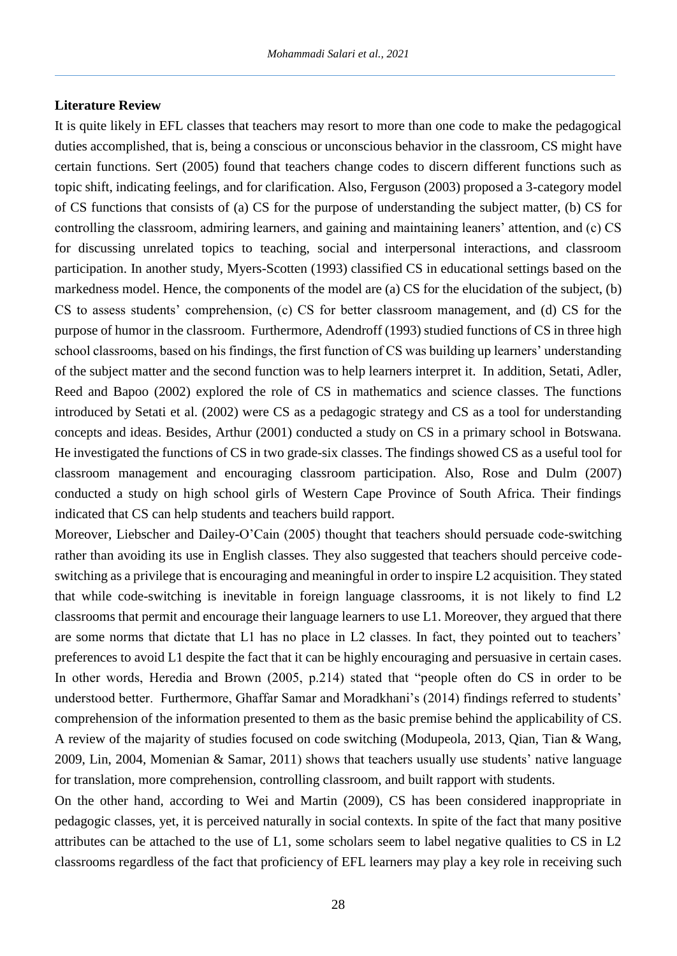#### **Literature Review**

It is quite likely in EFL classes that teachers may resort to more than one code to make the pedagogical duties accomplished, that is, being a conscious or unconscious behavior in the classroom, CS might have certain functions. Sert (2005) found that teachers change codes to discern different functions such as topic shift, indicating feelings, and for clarification. Also, Ferguson (2003) proposed a 3-category model of CS functions that consists of (a) CS for the purpose of understanding the subject matter, (b) CS for controlling the classroom, admiring learners, and gaining and maintaining leaners' attention, and (c) CS for discussing unrelated topics to teaching, social and interpersonal interactions, and classroom participation. In another study, Myers-Scotten (1993) classified CS in educational settings based on the markedness model. Hence, the components of the model are (a) CS for the elucidation of the subject, (b) CS to assess students' comprehension, (c) CS for better classroom management, and (d) CS for the purpose of humor in the classroom. Furthermore, Adendroff (1993) studied functions of CS in three high school classrooms, based on his findings, the first function of CS was building up learners' understanding of the subject matter and the second function was to help learners interpret it. In addition, Setati, Adler, Reed and Bapoo (2002) explored the role of CS in mathematics and science classes. The functions introduced by Setati et al. (2002) were CS as a pedagogic strategy and CS as a tool for understanding concepts and ideas. Besides, Arthur (2001) conducted a study on CS in a primary school in Botswana. He investigated the functions of CS in two grade-six classes. The findings showed CS as a useful tool for classroom management and encouraging classroom participation. Also, Rose and Dulm (2007) conducted a study on high school girls of Western Cape Province of South Africa. Their findings indicated that CS can help students and teachers build rapport.

Moreover, Liebscher and Dailey-O'Cain (2005) thought that teachers should persuade code-switching rather than avoiding its use in English classes. They also suggested that teachers should perceive codeswitching as a privilege that is encouraging and meaningful in order to inspire L2 acquisition. They stated that while code-switching is inevitable in foreign language classrooms, it is not likely to find L2 classrooms that permit and encourage their language learners to use L1. Moreover, they argued that there are some norms that dictate that L1 has no place in L2 classes. In fact, they pointed out to teachers' preferences to avoid L1 despite the fact that it can be highly encouraging and persuasive in certain cases. In other words, Heredia and Brown (2005, p.214) stated that "people often do CS in order to be understood better. Furthermore, Ghaffar Samar and Moradkhani's (2014) findings referred to students' comprehension of the information presented to them as the basic premise behind the applicability of CS. A review of the majarity of studies focused on code switching (Modupeola, 2013, Qian, Tian & Wang, 2009, Lin, 2004, Momenian & Samar, 2011) shows that teachers usually use students' native language for translation, more comprehension, controlling classroom, and built rapport with students.

On the other hand, according to Wei and Martin (2009), CS has been considered inappropriate in pedagogic classes, yet, it is perceived naturally in social contexts. In spite of the fact that many positive attributes can be attached to the use of L1, some scholars seem to label negative qualities to CS in L2 classrooms regardless of the fact that proficiency of EFL learners may play a key role in receiving such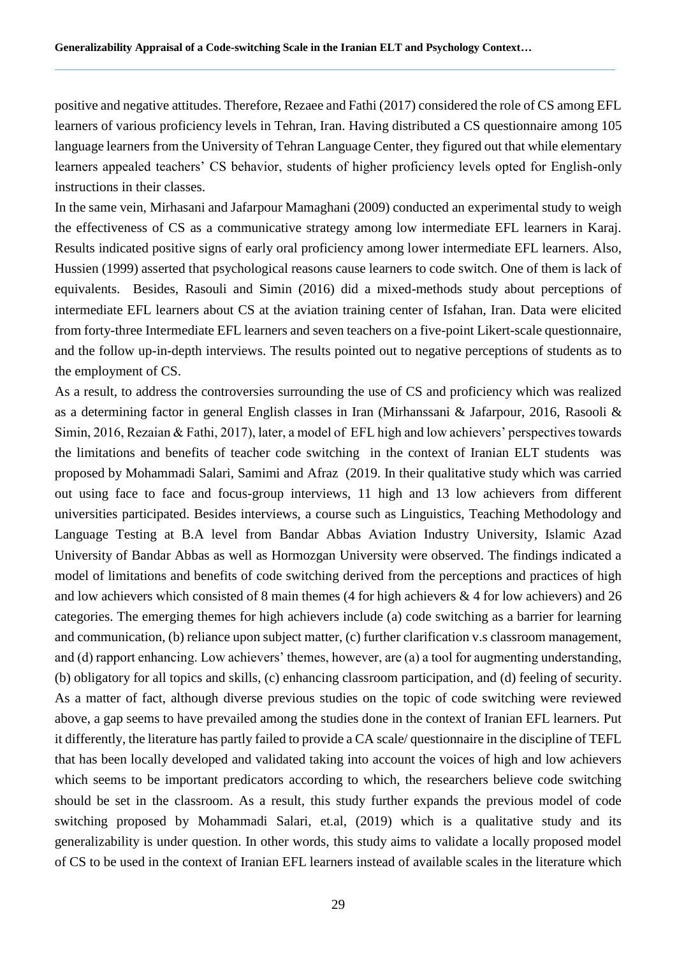positive and negative attitudes. Therefore, Rezaee and Fathi (2017) considered the role of CS among EFL learners of various proficiency levels in Tehran, Iran. Having distributed a CS questionnaire among 105 language learners from the University of Tehran Language Center, they figured out that while elementary learners appealed teachers' CS behavior, students of higher proficiency levels opted for English-only instructions in their classes.

In the same vein, Mirhasani and Jafarpour Mamaghani (2009) conducted an experimental study to weigh the effectiveness of CS as a communicative strategy among low intermediate EFL learners in Karaj. Results indicated positive signs of early oral proficiency among lower intermediate EFL learners. Also, Hussien (1999) asserted that psychological reasons cause learners to code switch. One of them is lack of equivalents. Besides, Rasouli and Simin (2016) did a mixed-methods study about perceptions of intermediate EFL learners about CS at the aviation training center of Isfahan, Iran. Data were elicited from forty-three Intermediate EFL learners and seven teachers on a five-point Likert-scale questionnaire, and the follow up-in-depth interviews. The results pointed out to negative perceptions of students as to the employment of CS.

As a result, to address the controversies surrounding the use of CS and proficiency which was realized as a determining factor in general English classes in Iran (Mirhanssani & Jafarpour, 2016, Rasooli & Simin, 2016, Rezaian & Fathi, 2017), later, a model of EFL high and low achievers' perspectives towards the limitations and benefits of teacher code switching in the context of Iranian ELT students was proposed by Mohammadi Salari, Samimi and Afraz (2019. In their qualitative study which was carried out using face to face and focus-group interviews, 11 high and 13 low achievers from different universities participated. Besides interviews, a course such as Linguistics, Teaching Methodology and Language Testing at B.A level from Bandar Abbas Aviation Industry University, Islamic Azad University of Bandar Abbas as well as Hormozgan University were observed. The findings indicated a model of limitations and benefits of code switching derived from the perceptions and practices of high and low achievers which consisted of 8 main themes (4 for high achievers & 4 for low achievers) and 26 categories. The emerging themes for high achievers include (a) code switching as a barrier for learning and communication, (b) reliance upon subject matter, (c) further clarification v.s classroom management, and (d) rapport enhancing. Low achievers' themes, however, are (a) a tool for augmenting understanding, (b) obligatory for all topics and skills, (c) enhancing classroom participation, and (d) feeling of security. As a matter of fact, although diverse previous studies on the topic of code switching were reviewed above, a gap seems to have prevailed among the studies done in the context of Iranian EFL learners. Put it differently, the literature has partly failed to provide a CA scale/ questionnaire in the discipline of TEFL that has been locally developed and validated taking into account the voices of high and low achievers which seems to be important predicators according to which, the researchers believe code switching should be set in the classroom. As a result, this study further expands the previous model of code switching proposed by Mohammadi Salari, et.al, (2019) which is a qualitative study and its generalizability is under question. In other words, this study aims to validate a locally proposed model of CS to be used in the context of Iranian EFL learners instead of available scales in the literature which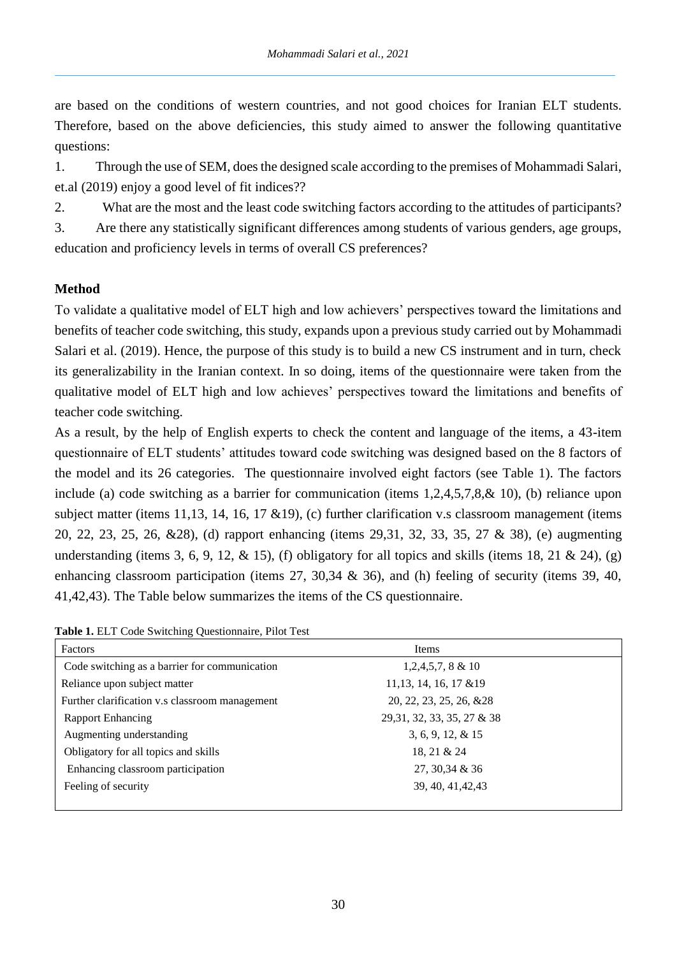are based on the conditions of western countries, and not good choices for Iranian ELT students. Therefore, based on the above deficiencies, this study aimed to answer the following quantitative questions:

1. Through the use of SEM, does the designed scale according to the premises of Mohammadi Salari, et.al (2019) enjoy a good level of fit indices??

2. What are the most and the least code switching factors according to the attitudes of participants?

3. Are there any statistically significant differences among students of various genders, age groups, education and proficiency levels in terms of overall CS preferences?

# **Method**

To validate a qualitative model of ELT high and low achievers' perspectives toward the limitations and benefits of teacher code switching, this study, expands upon a previous study carried out by Mohammadi Salari et al. (2019). Hence, the purpose of this study is to build a new CS instrument and in turn, check its generalizability in the Iranian context. In so doing, items of the questionnaire were taken from the qualitative model of ELT high and low achieves' perspectives toward the limitations and benefits of teacher code switching.

As a result, by the help of English experts to check the content and language of the items, a 43-item questionnaire of ELT students' attitudes toward code switching was designed based on the 8 factors of the model and its 26 categories. The questionnaire involved eight factors (see Table 1). The factors include (a) code switching as a barrier for communication (items 1,2,4,5,7,8,& 10), (b) reliance upon subject matter (items 11,13, 14, 16, 17 &19), (c) further clarification v.s classroom management (items 20, 22, 23, 25, 26, &28), (d) rapport enhancing (items 29,31, 32, 33, 35, 27 & 38), (e) augmenting understanding (items 3, 6, 9, 12,  $\&$  15), (f) obligatory for all topics and skills (items 18, 21  $\&$  24), (g) enhancing classroom participation (items 27, 30,34 & 36), and (h) feeling of security (items 39, 40, 41,42,43). The Table below summarizes the items of the CS questionnaire.

Factors Items Code switching as a barrier for communication 1,2,4,5,7, 8 & 10 Reliance upon subject matter 11,13, 14, 16, 17 &19 Further clarification v.s classroom management 20, 22, 23, 25, 26, &28 Rapport Enhancing 29,31, 32, 33, 35, 27 & 38 Augmenting understanding 3, 6, 9, 12, & 15 Obligatory for all topics and skills 18, 21 & 24 Enhancing classroom participation 27, 30,34 & 36 Feeling of security 39, 40, 41, 42, 43

**Table 1.** ELT Code Switching Questionnaire, Pilot Test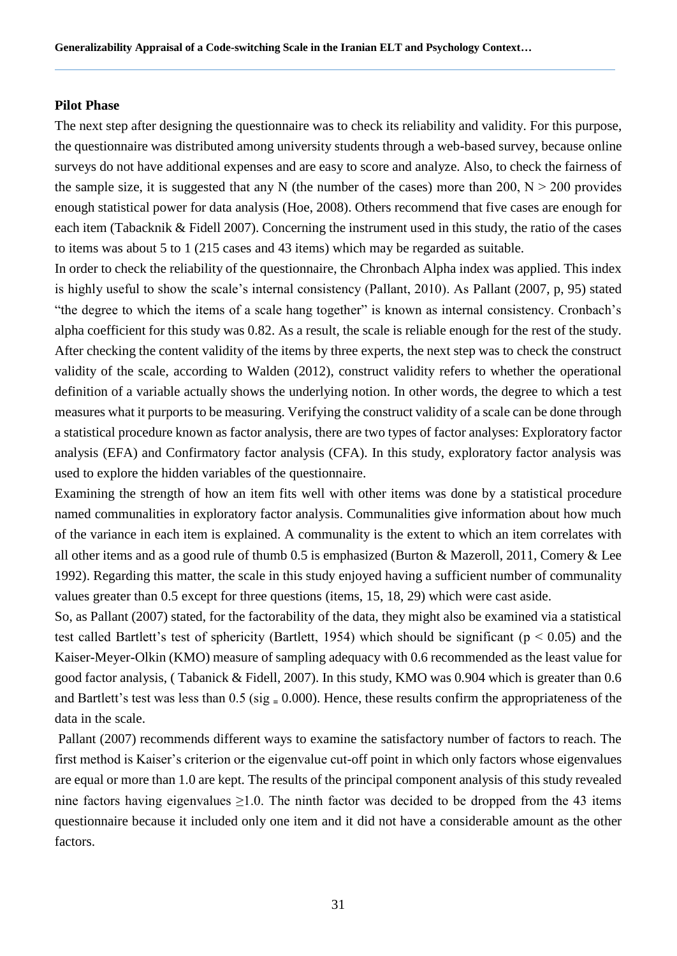#### **Pilot Phase**

The next step after designing the questionnaire was to check its reliability and validity. For this purpose, the questionnaire was distributed among university students through a web-based survey, because online surveys do not have additional expenses and are easy to score and analyze. Also, to check the fairness of the sample size, it is suggested that any N (the number of the cases) more than 200,  $N > 200$  provides enough statistical power for data analysis (Hoe, 2008). Others recommend that five cases are enough for each item (Tabacknik & Fidell 2007). Concerning the instrument used in this study, the ratio of the cases to items was about 5 to 1 (215 cases and 43 items) which may be regarded as suitable.

In order to check the reliability of the questionnaire, the Chronbach Alpha index was applied. This index is highly useful to show the scale's internal consistency (Pallant, 2010). As Pallant (2007, p, 95) stated "the degree to which the items of a scale hang together" is known as internal consistency. Cronbach's alpha coefficient for this study was 0.82. As a result, the scale is reliable enough for the rest of the study. After checking the content validity of the items by three experts, the next step was to check the construct validity of the scale, according to Walden (2012), construct validity refers to whether the operational definition of a variable actually shows the underlying notion. In other words, the degree to which a test measures what it purports to be measuring. Verifying the construct validity of a scale can be done through a statistical procedure known as factor analysis, there are two types of factor analyses: Exploratory factor analysis (EFA) and Confirmatory factor analysis (CFA). In this study, exploratory factor analysis was used to explore the hidden variables of the questionnaire.

Examining the strength of how an item fits well with other items was done by a statistical procedure named communalities in exploratory factor analysis. Communalities give information about how much of the variance in each item is explained. A communality is the extent to which an item correlates with all other items and as a good rule of thumb 0.5 is emphasized (Burton & Mazeroll, 2011, Comery & Lee 1992). Regarding this matter, the scale in this study enjoyed having a sufficient number of communality values greater than 0.5 except for three questions (items, 15, 18, 29) which were cast aside.

So, as Pallant (2007) stated, for the factorability of the data, they might also be examined via a statistical test called Bartlett's test of sphericity (Bartlett, 1954) which should be significant ( $p < 0.05$ ) and the Kaiser-Meyer-Olkin (KMO) measure of sampling adequacy with 0.6 recommended as the least value for good factor analysis, ( Tabanick & Fidell, 2007). In this study, KMO was 0.904 which is greater than 0.6 and Bartlett's test was less than  $0.5$  (sig  $= 0.000$ ). Hence, these results confirm the appropriateness of the data in the scale.

Pallant (2007) recommends different ways to examine the satisfactory number of factors to reach. The first method is Kaiser's criterion or the eigenvalue cut-off point in which only factors whose eigenvalues are equal or more than 1.0 are kept. The results of the principal component analysis of this study revealed nine factors having eigenvalues  $\geq$ 1.0. The ninth factor was decided to be dropped from the 43 items questionnaire because it included only one item and it did not have a considerable amount as the other factors.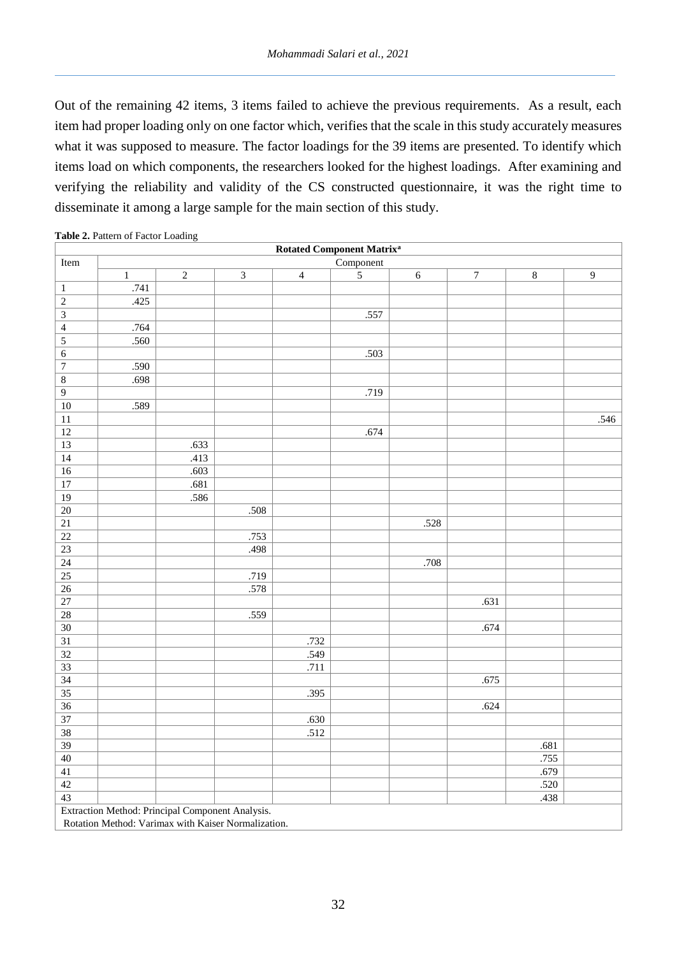Out of the remaining 42 items, 3 items failed to achieve the previous requirements. As a result, each item had proper loading only on one factor which, verifies that the scale in this study accurately measures what it was supposed to measure. The factor loadings for the 39 items are presented. To identify which items load on which components, the researchers looked for the highest loadings. After examining and verifying the reliability and validity of the CS constructed questionnaire, it was the right time to disseminate it among a large sample for the main section of this study.

|                 |                                                  |            |                |                | <b>Rotated Component Matrix<sup>a</sup></b> |            |                  |         |                  |
|-----------------|--------------------------------------------------|------------|----------------|----------------|---------------------------------------------|------------|------------------|---------|------------------|
| Item            |                                                  |            |                |                | Component                                   |            |                  |         |                  |
|                 | $\,1$                                            | $\sqrt{2}$ | $\overline{3}$ | $\overline{4}$ | $\sqrt{5}$                                  | $\sqrt{6}$ | $\boldsymbol{7}$ | $\,8\,$ | $\boldsymbol{9}$ |
| $\,1\,$         | .741                                             |            |                |                |                                             |            |                  |         |                  |
| $\overline{2}$  | .425                                             |            |                |                |                                             |            |                  |         |                  |
| $\overline{3}$  |                                                  |            |                |                | .557                                        |            |                  |         |                  |
| $\overline{4}$  | .764                                             |            |                |                |                                             |            |                  |         |                  |
| $\overline{5}$  | .560                                             |            |                |                |                                             |            |                  |         |                  |
| 6               |                                                  |            |                |                | .503                                        |            |                  |         |                  |
| $\overline{7}$  | .590                                             |            |                |                |                                             |            |                  |         |                  |
| $\,8\,$         | .698                                             |            |                |                |                                             |            |                  |         |                  |
| $\overline{9}$  |                                                  |            |                |                | .719                                        |            |                  |         |                  |
| $\overline{10}$ | .589                                             |            |                |                |                                             |            |                  |         |                  |
| $\overline{11}$ |                                                  |            |                |                |                                             |            |                  |         | .546             |
| $\overline{12}$ |                                                  |            |                |                | .674                                        |            |                  |         |                  |
| $\overline{13}$ |                                                  | .633       |                |                |                                             |            |                  |         |                  |
| $\overline{14}$ |                                                  | .413       |                |                |                                             |            |                  |         |                  |
| $\overline{16}$ |                                                  | .603       |                |                |                                             |            |                  |         |                  |
| $\overline{17}$ |                                                  | .681       |                |                |                                             |            |                  |         |                  |
| $\overline{19}$ |                                                  | .586       |                |                |                                             |            |                  |         |                  |
| $\overline{20}$ |                                                  |            | .508           |                |                                             |            |                  |         |                  |
| $\overline{21}$ |                                                  |            |                |                |                                             | .528       |                  |         |                  |
| $\overline{22}$ |                                                  |            | .753           |                |                                             |            |                  |         |                  |
| $\overline{23}$ |                                                  |            | .498           |                |                                             |            |                  |         |                  |
| $\overline{24}$ |                                                  |            |                |                |                                             | .708       |                  |         |                  |
| $\overline{25}$ |                                                  |            | .719           |                |                                             |            |                  |         |                  |
| $\overline{26}$ |                                                  |            | .578           |                |                                             |            |                  |         |                  |
| $\overline{27}$ |                                                  |            |                |                |                                             |            | .631             |         |                  |
| $\overline{28}$ |                                                  |            | .559           |                |                                             |            |                  |         |                  |
| $\overline{30}$ |                                                  |            |                |                |                                             |            | .674             |         |                  |
| $\overline{31}$ |                                                  |            |                | .732           |                                             |            |                  |         |                  |
| $\overline{32}$ |                                                  |            |                | .549           |                                             |            |                  |         |                  |
| $\overline{33}$ |                                                  |            |                | .711           |                                             |            |                  |         |                  |
| $\overline{34}$ |                                                  |            |                |                |                                             |            | .675             |         |                  |
| $\overline{35}$ |                                                  |            |                | .395           |                                             |            |                  |         |                  |
| $\overline{36}$ |                                                  |            |                |                |                                             |            | .624             |         |                  |
| $\overline{37}$ |                                                  |            |                | .630           |                                             |            |                  |         |                  |
| $\overline{38}$ |                                                  |            |                | .512           |                                             |            |                  |         |                  |
| $\overline{39}$ |                                                  |            |                |                |                                             |            |                  | .681    |                  |
| $\overline{40}$ |                                                  |            |                |                |                                             |            |                  | .755    |                  |
| 41              |                                                  |            |                |                |                                             |            |                  | .679    |                  |
| $\overline{42}$ |                                                  |            |                |                |                                             |            |                  | .520    |                  |
| $\overline{43}$ |                                                  |            |                |                |                                             |            |                  | .438    |                  |
|                 | Extraction Method: Principal Component Analysis. |            |                |                |                                             |            |                  |         |                  |

|  | Table 2. Pattern of Factor Loading |  |
|--|------------------------------------|--|

Rotation Method: Varimax with Kaiser Normalization.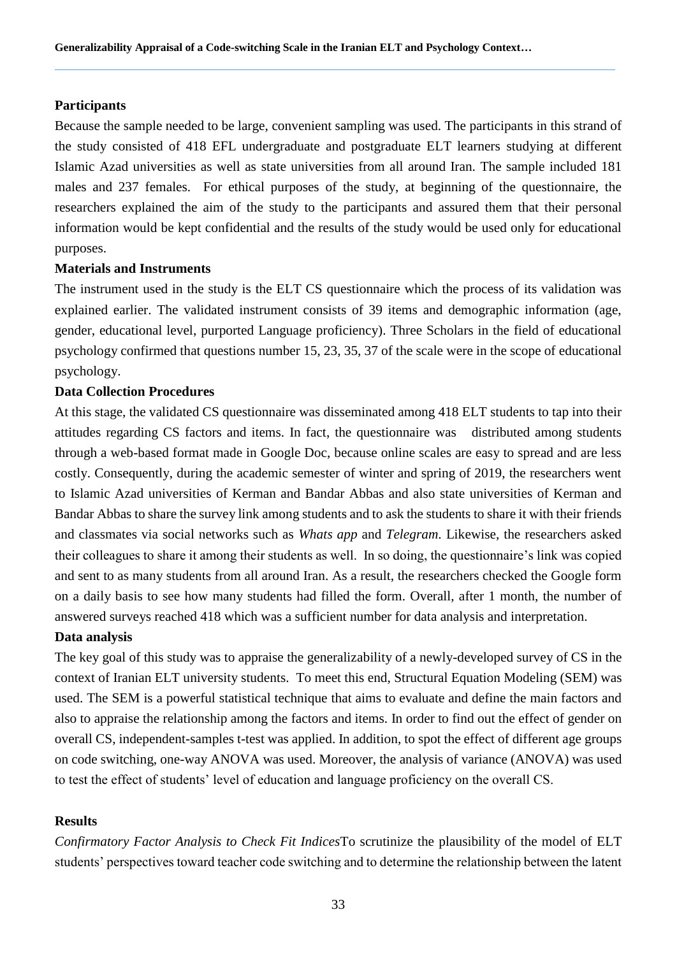#### **Participants**

Because the sample needed to be large, convenient sampling was used. The participants in this strand of the study consisted of 418 EFL undergraduate and postgraduate ELT learners studying at different Islamic Azad universities as well as state universities from all around Iran. The sample included 181 males and 237 females. For ethical purposes of the study, at beginning of the questionnaire, the researchers explained the aim of the study to the participants and assured them that their personal information would be kept confidential and the results of the study would be used only for educational purposes.

#### **Materials and Instruments**

The instrument used in the study is the ELT CS questionnaire which the process of its validation was explained earlier. The validated instrument consists of 39 items and demographic information (age, gender, educational level, purported Language proficiency). Three Scholars in the field of educational psychology confirmed that questions number 15, 23, 35, 37 of the scale were in the scope of educational psychology.

#### **Data Collection Procedures**

At this stage, the validated CS questionnaire was disseminated among 418 ELT students to tap into their attitudes regarding CS factors and items. In fact, the questionnaire was distributed among students through a web-based format made in Google Doc, because online scales are easy to spread and are less costly. Consequently, during the academic semester of winter and spring of 2019, the researchers went to Islamic Azad universities of Kerman and Bandar Abbas and also state universities of Kerman and Bandar Abbas to share the survey link among students and to ask the students to share it with their friends and classmates via social networks such as *Whats app* and *Telegram*. Likewise, the researchers asked their colleagues to share it among their students as well. In so doing, the questionnaire's link was copied and sent to as many students from all around Iran. As a result, the researchers checked the Google form on a daily basis to see how many students had filled the form. Overall, after 1 month, the number of answered surveys reached 418 which was a sufficient number for data analysis and interpretation.

#### **Data analysis**

The key goal of this study was to appraise the generalizability of a newly-developed survey of CS in the context of Iranian ELT university students. To meet this end, Structural Equation Modeling (SEM) was used. The SEM is a powerful statistical technique that aims to evaluate and define the main factors and also to appraise the relationship among the factors and items. In order to find out the effect of gender on overall CS, independent-samples t-test was applied. In addition, to spot the effect of different age groups on code switching, one-way ANOVA was used. Moreover, the analysis of variance (ANOVA) was used to test the effect of students' level of education and language proficiency on the overall CS.

## **Results**

*Confirmatory Factor Analysis to Check Fit Indices*To scrutinize the plausibility of the model of ELT students' perspectives toward teacher code switching and to determine the relationship between the latent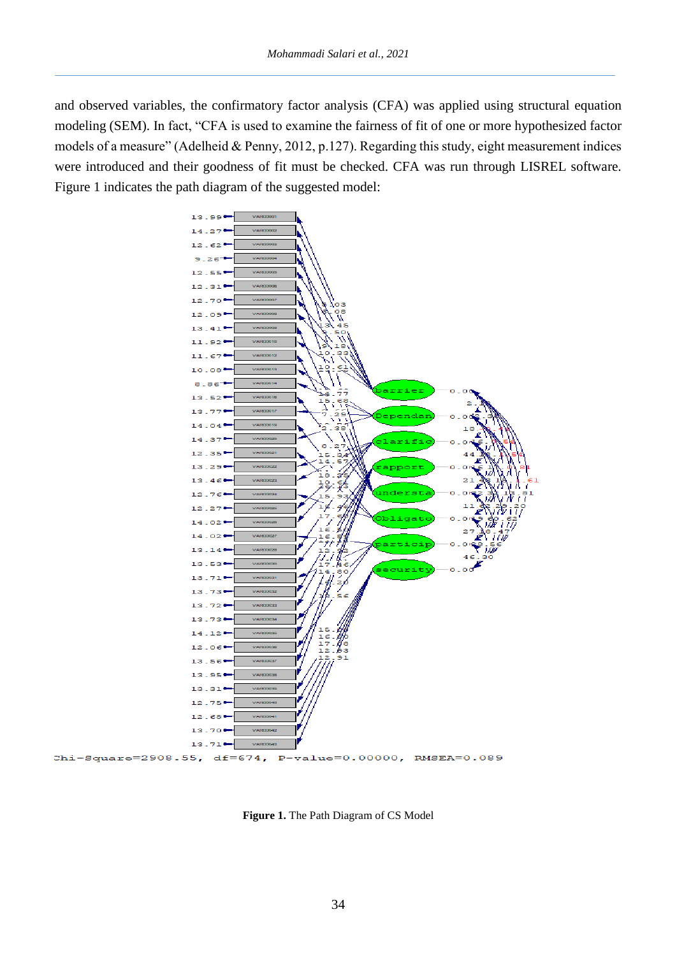and observed variables, the confirmatory factor analysis (CFA) was applied using structural equation modeling (SEM). In fact, "CFA is used to examine the fairness of fit of one or more hypothesized factor models of a measure" (Adelheid & Penny, 2012, p.127). Regarding this study, eight measurement indices were introduced and their goodness of fit must be checked. CFA was run through LISREL software. Figure 1 indicates the path diagram of the suggested model:



**Figure 1.** The Path Diagram of CS Model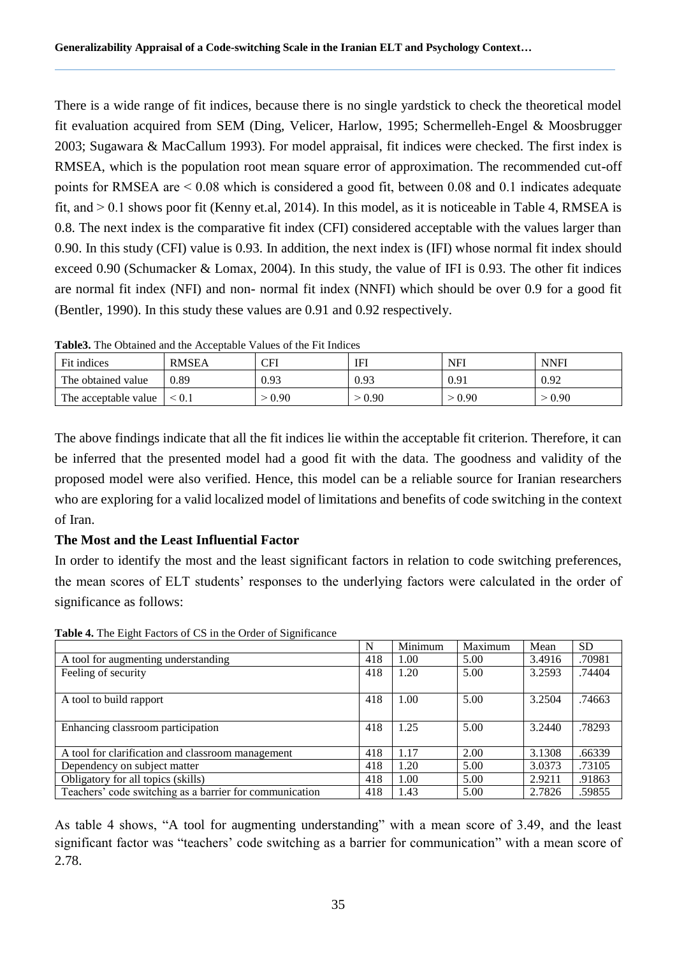There is a wide range of fit indices, because there is no single yardstick to check the theoretical model fit evaluation acquired from SEM (Ding, Velicer, Harlow, 1995; Schermelleh-Engel & Moosbrugger 2003; Sugawara & MacCallum 1993). For model appraisal, fit indices were checked. The first index is RMSEA, which is the population root mean square error of approximation. The recommended cut-off points for RMSEA are ˂ 0.08 which is considered a good fit, between 0.08 and 0.1 indicates adequate fit, and  $> 0.1$  shows poor fit (Kenny et.al, 2014). In this model, as it is noticeable in Table 4, RMSEA is 0.8. The next index is the comparative fit index (CFI) considered acceptable with the values larger than 0.90. In this study (CFI) value is 0.93. In addition, the next index is (IFI) whose normal fit index should exceed 0.90 (Schumacker & Lomax, 2004). In this study, the value of IFI is 0.93. The other fit indices are normal fit index (NFI) and non- normal fit index (NNFI) which should be over 0.9 for a good fit (Bentler, 1990). In this study these values are 0.91 and 0.92 respectively.

| AMMAVU I IIV U U VAIIIVU VIIV VIIV I AVVUDVAUJU - VIIVUU UI VIIV A IV AIIVIVUU |              |        |      |        |             |  |  |  |  |
|--------------------------------------------------------------------------------|--------------|--------|------|--------|-------------|--|--|--|--|
| Fit indices                                                                    | <b>RMSEA</b> | CFI    | IFI  | NFI    | <b>NNFI</b> |  |  |  |  |
| The obtained value                                                             | 0.89         | 0.93   | 0.93 | 0.91   | 0.92        |  |  |  |  |
| The acceptable value                                                           | $\leq 0.1$   | > 0.90 | 0.90 | > 0.90 | > 0.90      |  |  |  |  |

**Table3.** The Obtained and the Acceptable Values of the Fit Indices

The above findings indicate that all the fit indices lie within the acceptable fit criterion. Therefore, it can be inferred that the presented model had a good fit with the data. The goodness and validity of the proposed model were also verified. Hence, this model can be a reliable source for Iranian researchers who are exploring for a valid localized model of limitations and benefits of code switching in the context of Iran.

# **The Most and the Least Influential Factor**

In order to identify the most and the least significant factors in relation to code switching preferences, the mean scores of ELT students' responses to the underlying factors were calculated in the order of significance as follows:

|                                                         | N   | Minimum | Maximum | Mean   | <b>SD</b> |
|---------------------------------------------------------|-----|---------|---------|--------|-----------|
| A tool for augmenting understanding                     | 418 | 1.00    | 5.00    | 3.4916 | .70981    |
| Feeling of security                                     | 418 | 1.20    | 5.00    | 3.2593 | .74404    |
|                                                         |     |         |         |        |           |
| A tool to build rapport                                 | 418 | 1.00    | 5.00    | 3.2504 | .74663    |
|                                                         |     |         |         |        |           |
| Enhancing classroom participation                       | 418 | 1.25    | 5.00    | 3.2440 | .78293    |
|                                                         |     |         |         |        |           |
| A tool for clarification and classroom management       | 418 | 1.17    | 2.00    | 3.1308 | .66339    |
| Dependency on subject matter                            | 418 | 1.20    | 5.00    | 3.0373 | .73105    |
| Obligatory for all topics (skills)                      | 418 | 1.00    | 5.00    | 2.9211 | .91863    |
| Teachers' code switching as a barrier for communication | 418 | 1.43    | 5.00    | 2.7826 | .59855    |

**Table 4.** The Eight Factors of CS in the Order of Significance

As table 4 shows, "A tool for augmenting understanding" with a mean score of 3.49, and the least significant factor was "teachers' code switching as a barrier for communication" with a mean score of 2.78.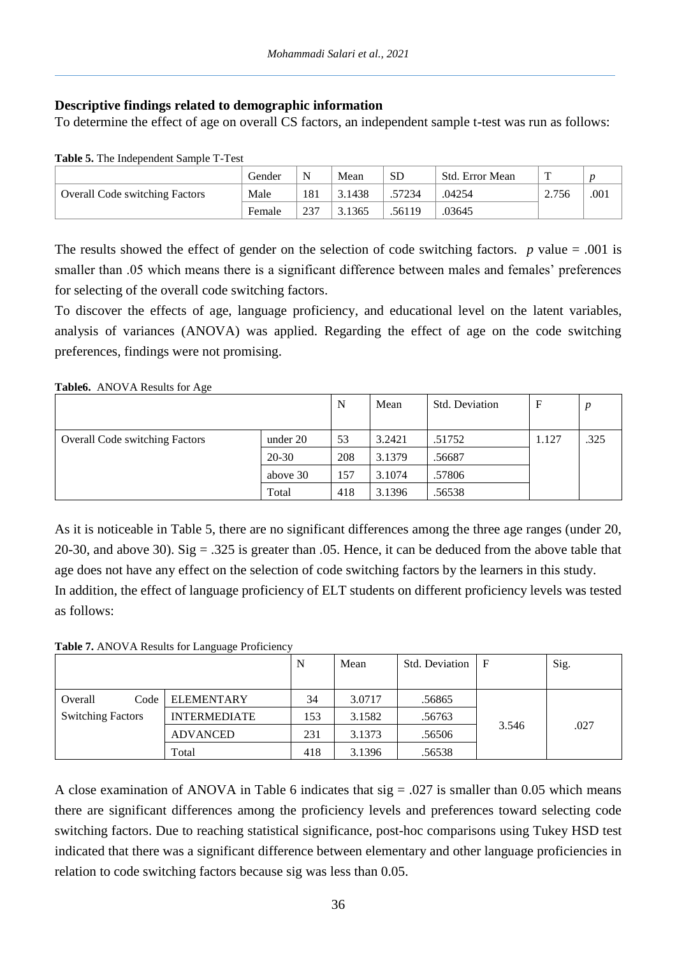# **Descriptive findings related to demographic information**

To determine the effect of age on overall CS factors, an independent sample t-test was run as follows:

| $\sim$ which we have alleged willengthen behavior in the second state of the second state of the second state of the second state of the second state of the second state of the second state of the second state of the second |        |     |        |           |                 |       |      |  |
|---------------------------------------------------------------------------------------------------------------------------------------------------------------------------------------------------------------------------------|--------|-----|--------|-----------|-----------------|-------|------|--|
|                                                                                                                                                                                                                                 | Gender |     | Mean   | <b>SD</b> | Std. Error Mean | m     |      |  |
| <b>Overall Code switching Factors</b>                                                                                                                                                                                           | Male   | 181 | 3.1438 | 57234     | .04254          | 2.756 | .001 |  |
|                                                                                                                                                                                                                                 | Female | 237 | 3.1365 | .56119    | .03645          |       |      |  |

**Table 5.** The Independent Sample T-Test

The results showed the effect of gender on the selection of code switching factors. *p* value = .001 is smaller than .05 which means there is a significant difference between males and females' preferences for selecting of the overall code switching factors.

To discover the effects of age, language proficiency, and educational level on the latent variables, analysis of variances (ANOVA) was applied. Regarding the effect of age on the code switching preferences, findings were not promising.

## **Table6.** ANOVA Results for Age

|                                       |          | N   | Mean   | Std. Deviation | $\mathbf F$ | $\boldsymbol{p}$ |
|---------------------------------------|----------|-----|--------|----------------|-------------|------------------|
| <b>Overall Code switching Factors</b> | under 20 | 53  | 3.2421 | .51752         | 1.127       | .325             |
|                                       | 20-30    | 208 | 3.1379 | .56687         |             |                  |
|                                       | above 30 | 157 | 3.1074 | .57806         |             |                  |
|                                       | Total    | 418 | 3.1396 | .56538         |             |                  |

As it is noticeable in Table 5, there are no significant differences among the three age ranges (under 20, 20-30, and above 30). Sig  $= .325$  is greater than 0.05. Hence, it can be deduced from the above table that age does not have any effect on the selection of code switching factors by the learners in this study. In addition, the effect of language proficiency of ELT students on different proficiency levels was tested as follows:

**Table 7.** ANOVA Results for Language Proficiency

|                          |                     | N   | Mean   | Std. Deviation |       | Sig. |
|--------------------------|---------------------|-----|--------|----------------|-------|------|
|                          |                     |     |        |                |       |      |
| Code<br>Overall          | <b>ELEMENTARY</b>   | 34  | 3.0717 | .56865         |       |      |
| <b>Switching Factors</b> | <b>INTERMEDIATE</b> | 153 | 3.1582 | .56763         |       |      |
|                          | <b>ADVANCED</b>     | 231 | 3.1373 | .56506         | 3.546 | .027 |
|                          | Total               | 418 | 3.1396 | .56538         |       |      |

A close examination of ANOVA in Table 6 indicates that  $sig = .027$  is smaller than 0.05 which means there are significant differences among the proficiency levels and preferences toward selecting code switching factors. Due to reaching statistical significance, post-hoc comparisons using Tukey HSD test indicated that there was a significant difference between elementary and other language proficiencies in relation to code switching factors because sig was less than 0.05.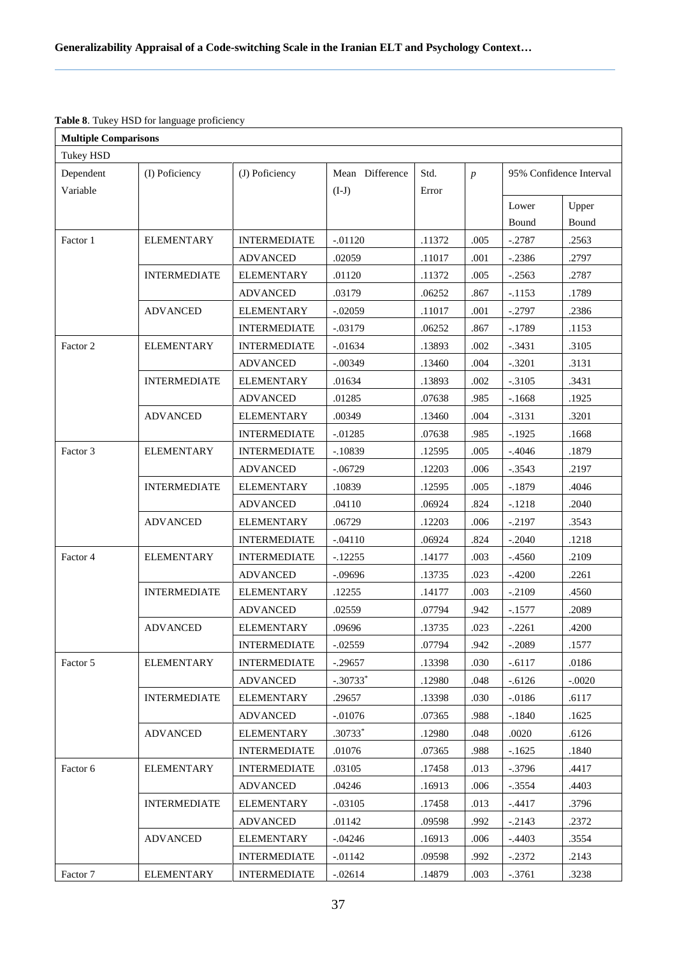# **Table 8**. Tukey HSD for language proficiency

| <b>Multiple Comparisons</b> |                     |                                          |                         |                                                |                  |                                  |                |
|-----------------------------|---------------------|------------------------------------------|-------------------------|------------------------------------------------|------------------|----------------------------------|----------------|
| Tukey HSD                   |                     |                                          |                         |                                                |                  |                                  |                |
| Dependent                   | (I) Poficiency      | (J) Poficiency                           | Mean Difference         | Std.                                           | $\boldsymbol{p}$ | 95% Confidence Interval          |                |
| Variable                    |                     |                                          | $(I-J)$                 | Error                                          |                  |                                  |                |
|                             |                     |                                          |                         |                                                |                  | Lower                            | Upper          |
|                             |                     |                                          |                         |                                                |                  | Bound                            | Bound          |
| Factor 1                    | <b>ELEMENTARY</b>   | <b>INTERMEDIATE</b>                      | $-.01120$               | .11372                                         | .005             | $-.2787$                         | .2563          |
|                             |                     | <b>ADVANCED</b>                          | .02059                  | .11017                                         | .001             | $-.2386$                         | .2797          |
|                             | <b>INTERMEDIATE</b> | <b>ELEMENTARY</b>                        | .01120                  | .11372                                         | .005             | $-.2563$                         | .2787          |
|                             |                     | <b>ADVANCED</b>                          | .03179                  | .06252                                         | .867             | $-.1153$                         | .1789          |
|                             | <b>ADVANCED</b>     | <b>ELEMENTARY</b>                        | $-.02059$               | .11017                                         | .001             | $-.2797$                         | .2386          |
|                             |                     | <b>INTERMEDIATE</b>                      | $-.03179$               | .06252                                         | .867             | $-1789$                          | .1153          |
| Factor 2                    | <b>ELEMENTARY</b>   | <b>INTERMEDIATE</b>                      | $-0.01634$              | .13893                                         | .002             | $-.3431$                         | .3105          |
|                             |                     | <b>ADVANCED</b>                          | $-.00349$               | .13460                                         | .004             | $-.3201$                         | .3131          |
|                             | <b>INTERMEDIATE</b> | <b>ELEMENTARY</b>                        | .01634                  | .13893                                         | .002             | $-.3105$                         | .3431          |
|                             |                     | <b>ADVANCED</b>                          | .01285                  | .07638                                         | .985             | $-1668$                          | .1925          |
|                             | <b>ADVANCED</b>     | <b>ELEMENTARY</b>                        | .00349                  | .13460                                         | .004             | $-.3131$                         | .3201          |
|                             |                     | <b>INTERMEDIATE</b>                      | $-0.01285$              | .07638                                         | .985             | $-.1925$                         | .1668          |
| Factor 3                    | <b>ELEMENTARY</b>   | <b>INTERMEDIATE</b>                      | $-.10839$               | .12595                                         | .005             | $-.4046$                         | .1879          |
|                             |                     | <b>ADVANCED</b>                          | $-.06729$               | .12203                                         | .006             | $-.3543$                         | .2197          |
|                             | <b>INTERMEDIATE</b> | <b>ELEMENTARY</b>                        | .10839                  | .12595                                         | .005             | $-.1879$                         | .4046          |
|                             |                     | <b>ADVANCED</b>                          | .04110                  | .06924                                         | .824             | $-.1218$                         | .2040          |
|                             | <b>ADVANCED</b>     | <b>ELEMENTARY</b>                        | .06729                  | .12203                                         | .006             | $-.2197$                         | .3543          |
|                             |                     | <b>INTERMEDIATE</b>                      | $-.04110$               | .06924                                         | .824             | $-.2040$                         | .1218          |
| Factor 4                    | <b>ELEMENTARY</b>   | <b>INTERMEDIATE</b>                      | $-12255$                | .14177                                         | .003             | $-0.4560$                        | .2109          |
|                             |                     | <b>ADVANCED</b>                          | $-.09696$               | .13735                                         | .023             | $-.4200$                         | .2261          |
|                             | <b>INTERMEDIATE</b> | <b>ELEMENTARY</b>                        | .12255                  | .14177                                         | .003             | $-.2109$                         | .4560          |
|                             |                     | <b>ADVANCED</b>                          | .02559                  | .07794                                         | .942             | $-.1577$                         | .2089          |
|                             | <b>ADVANCED</b>     | <b>ELEMENTARY</b>                        | .09696                  | .13735                                         | .023             | $-.2261$                         | .4200          |
|                             |                     | <b>INTERMEDIATE</b>                      | $-0.02559$              | .07794                                         | .942             | $-.2089$                         | .1577          |
| Factor 5                    | <b>ELEMENTARY</b>   | <b>INTERMEDIATE</b>                      | $-.29657$               | .13398                                         | .030             | $-0.6117$                        | .0186          |
|                             |                     | <b>ADVANCED</b>                          | $-.30733*$              | .12980                                         | .048             | $-.6126$                         | $-.0020$       |
|                             | <b>INTERMEDIATE</b> | <b>ELEMENTARY</b>                        | .29657                  | .13398                                         | .030             | $-.0186$                         | .6117          |
|                             |                     | <b>ADVANCED</b>                          | $-.01076$               | .07365                                         | .988             | $-1840$                          | .1625          |
|                             | <b>ADVANCED</b>     | <b>ELEMENTARY</b>                        | .30733*                 | .12980                                         | .048             | .0020                            | .6126          |
|                             |                     | <b>INTERMEDIATE</b>                      | .01076                  | .07365                                         | .988             | $-1625$                          | .1840          |
| Factor 6                    | <b>ELEMENTARY</b>   | <b>INTERMEDIATE</b>                      | .03105                  | .17458                                         | .013             | $-.3796$                         | .4417          |
|                             |                     | <b>ADVANCED</b>                          | .04246                  |                                                | .006             | $-.3554$                         | .4403          |
|                             | <b>INTERMEDIATE</b> |                                          |                         |                                                | .013             |                                  |                |
|                             |                     | <b>ADVANCED</b>                          | .01142                  | .09598                                         | .992             | $-.2143$                         | .2372          |
|                             | <b>ADVANCED</b>     | <b>ELEMENTARY</b>                        |                         |                                                | .006             |                                  |                |
|                             |                     |                                          | $-0.01142$              |                                                | .992             | $-.2372$                         | .2143          |
| Factor 7                    | <b>ELEMENTARY</b>   | <b>INTERMEDIATE</b>                      | $-.02614$               |                                                | .003             |                                  | .3238          |
|                             |                     | <b>ELEMENTARY</b><br><b>INTERMEDIATE</b> | $-.03105$<br>$-0.04246$ | .16913<br>.17458<br>.16913<br>.09598<br>.14879 |                  | $-.4417$<br>$-.4403$<br>$-.3761$ | .3796<br>.3554 |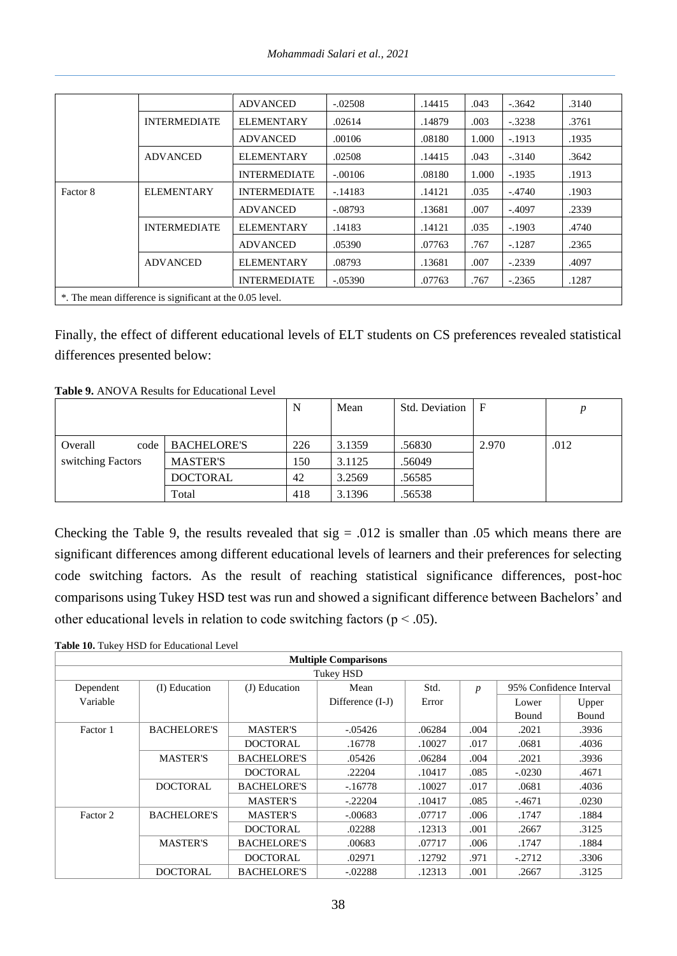|          |                                                          | <b>ADVANCED</b>     | $-.02508$ | .14415 | .043  | $-.3642$ | .3140 |
|----------|----------------------------------------------------------|---------------------|-----------|--------|-------|----------|-------|
|          | <b>INTERMEDIATE</b>                                      | <b>ELEMENTARY</b>   | .02614    | .14879 | .003  | $-.3238$ | .3761 |
|          |                                                          | <b>ADVANCED</b>     | .00106    | .08180 | 1.000 | $-.1913$ | .1935 |
|          | <b>ADVANCED</b>                                          | <b>ELEMENTARY</b>   | .02508    | .14415 | .043  | $-.3140$ | .3642 |
|          |                                                          | <b>INTERMEDIATE</b> | $-.00106$ | .08180 | 1.000 | $-.1935$ | .1913 |
| Factor 8 | <b>ELEMENTARY</b>                                        | <b>INTERMEDIATE</b> | $-.14183$ | .14121 | .035  | $-.4740$ | .1903 |
|          |                                                          | <b>ADVANCED</b>     | $-.08793$ | .13681 | .007  | $-.4097$ | .2339 |
|          | <b>INTERMEDIATE</b>                                      | <b>ELEMENTARY</b>   | .14183    | .14121 | .035  | $-.1903$ | .4740 |
|          |                                                          | <b>ADVANCED</b>     | .05390    | .07763 | .767  | $-.1287$ | .2365 |
|          | <b>ADVANCED</b>                                          | <b>ELEMENTARY</b>   | .08793    | .13681 | .007  | $-.2339$ | .4097 |
|          |                                                          | <b>INTERMEDIATE</b> | $-.05390$ | .07763 | .767  | $-.2365$ | .1287 |
|          | *. The mean difference is significant at the 0.05 level. |                     |           |        |       |          |       |

Finally, the effect of different educational levels of ELT students on CS preferences revealed statistical differences presented below:

| <b>Table 9.</b> ANOVA Results for Educational Level |
|-----------------------------------------------------|
|-----------------------------------------------------|

|                   |                    | N   | Mean   | Std. Deviation | F     |      |
|-------------------|--------------------|-----|--------|----------------|-------|------|
|                   |                    |     |        |                |       |      |
| Overall<br>code   | <b>BACHELORE'S</b> | 226 | 3.1359 | .56830         | 2.970 | .012 |
| switching Factors | <b>MASTER'S</b>    | 150 | 3.1125 | .56049         |       |      |
|                   | <b>DOCTORAL</b>    | 42  | 3.2569 | .56585         |       |      |
|                   | Total              | 418 | 3.1396 | .56538         |       |      |

Checking the Table 9, the results revealed that  $sig = .012$  is smaller than  $.05$  which means there are significant differences among different educational levels of learners and their preferences for selecting code switching factors. As the result of reaching statistical significance differences, post-hoc comparisons using Tukey HSD test was run and showed a significant difference between Bachelors' and other educational levels in relation to code switching factors ( $p < .05$ ).

Table 10. Tukey HSD for Educational Level

|           | <b>Multiple Comparisons</b>                                                                   |                    |                  |        |      |          |       |  |  |  |  |
|-----------|-----------------------------------------------------------------------------------------------|--------------------|------------------|--------|------|----------|-------|--|--|--|--|
|           | Tukey HSD                                                                                     |                    |                  |        |      |          |       |  |  |  |  |
| Dependent | 95% Confidence Interval<br>(I) Education<br>(J) Education<br>Mean<br>Std.<br>$\boldsymbol{p}$ |                    |                  |        |      |          |       |  |  |  |  |
| Variable  |                                                                                               |                    | Difference (I-J) | Error  |      | Lower    | Upper |  |  |  |  |
|           |                                                                                               |                    |                  |        |      | Bound    | Bound |  |  |  |  |
| Factor 1  | <b>BACHELORE'S</b>                                                                            | <b>MASTER'S</b>    | $-0.05426$       | .06284 | .004 | .2021    | .3936 |  |  |  |  |
|           |                                                                                               | <b>DOCTORAL</b>    | .16778           | .10027 | .017 | .0681    | .4036 |  |  |  |  |
|           | <b>MASTER'S</b>                                                                               | <b>BACHELORE'S</b> | .05426           | .06284 | .004 | .2021    | .3936 |  |  |  |  |
|           |                                                                                               | <b>DOCTORAL</b>    | .22204           | .10417 | .085 | $-.0230$ | .4671 |  |  |  |  |
|           | <b>DOCTORAL</b>                                                                               | <b>BACHELORE'S</b> | $-.16778$        | .10027 | .017 | .0681    | .4036 |  |  |  |  |
|           |                                                                                               | <b>MASTER'S</b>    | $-.22204$        | .10417 | .085 | $-4671$  | .0230 |  |  |  |  |
| Factor 2  | <b>BACHELORE'S</b>                                                                            | <b>MASTER'S</b>    | $-.00683$        | .07717 | .006 | .1747    | .1884 |  |  |  |  |
|           |                                                                                               | <b>DOCTORAL</b>    | .02288           | .12313 | .001 | .2667    | .3125 |  |  |  |  |
|           | <b>MASTER'S</b>                                                                               | <b>BACHELORE'S</b> | .00683           | .07717 | .006 | .1747    | .1884 |  |  |  |  |
|           |                                                                                               | <b>DOCTORAL</b>    | .02971           | .12792 | .971 | $-.2712$ | .3306 |  |  |  |  |
|           | <b>DOCTORAL</b>                                                                               | <b>BACHELORE'S</b> | $-.02288$        | .12313 | .001 | .2667    | .3125 |  |  |  |  |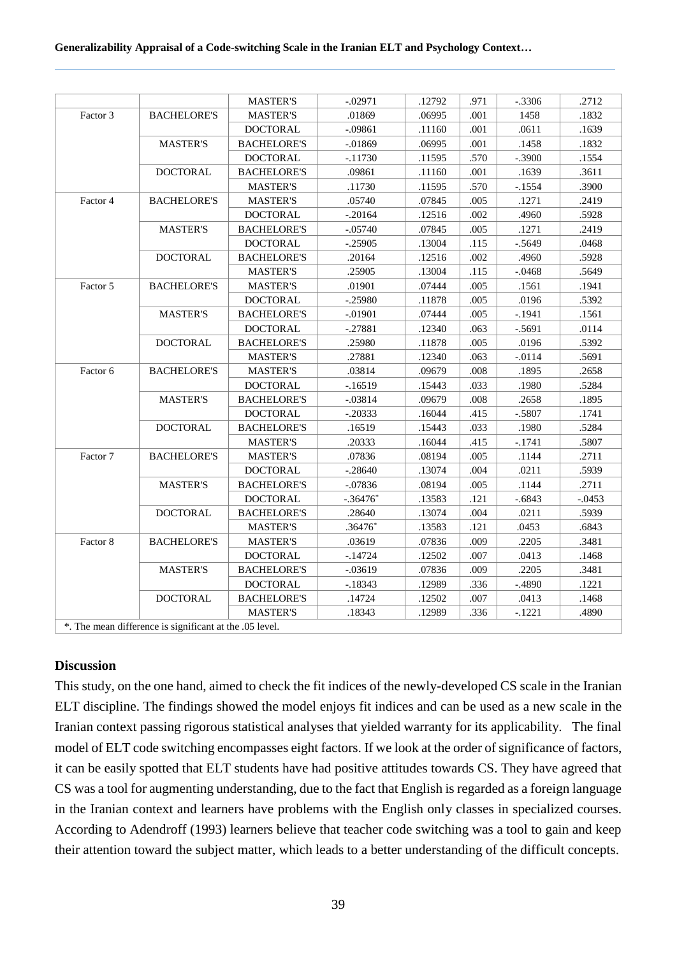#### **Generalizability Appraisal of a Code-switching Scale in the Iranian ELT and Psychology Context…**

| Factor 3            | <b>BACHELORE'S</b> | <b>MASTER'S</b><br><b>MASTER'S</b> | .01869     | .06995 |      |          |          |
|---------------------|--------------------|------------------------------------|------------|--------|------|----------|----------|
|                     |                    |                                    |            |        | .001 | 1458     | .1832    |
|                     |                    | <b>DOCTORAL</b>                    | $-.09861$  | .11160 | .001 | .0611    | .1639    |
|                     | <b>MASTER'S</b>    | <b>BACHELORE'S</b>                 | $-0.01869$ | .06995 | .001 | .1458    | .1832    |
|                     |                    | <b>DOCTORAL</b>                    | $-11730$   | .11595 | .570 | $-.3900$ | .1554    |
|                     | <b>DOCTORAL</b>    | <b>BACHELORE'S</b>                 | .09861     | .11160 | .001 | .1639    | .3611    |
|                     |                    | <b>MASTER'S</b>                    | .11730     | .11595 | .570 | $-1554$  | .3900    |
| Factor 4            | <b>BACHELORE'S</b> | <b>MASTER'S</b>                    | .05740     | .07845 | .005 | .1271    | .2419    |
|                     |                    | <b>DOCTORAL</b>                    | $-.20164$  | .12516 | .002 | .4960    | .5928    |
|                     | <b>MASTER'S</b>    | <b>BACHELORE'S</b>                 | $-.05740$  | .07845 | .005 | .1271    | .2419    |
|                     |                    | <b>DOCTORAL</b>                    | $-.25905$  | .13004 | .115 | $-.5649$ | .0468    |
|                     | <b>DOCTORAL</b>    | <b>BACHELORE'S</b>                 | .20164     | .12516 | .002 | .4960    | .5928    |
|                     |                    | <b>MASTER'S</b>                    | .25905     | .13004 | .115 | $-.0468$ | .5649    |
| Factor 5            | <b>BACHELORE'S</b> | <b>MASTER'S</b>                    | .01901     | .07444 | .005 | .1561    | .1941    |
|                     |                    | <b>DOCTORAL</b>                    | $-.25980$  | .11878 | .005 | .0196    | .5392    |
|                     | <b>MASTER'S</b>    | <b>BACHELORE'S</b>                 | $-.01901$  | .07444 | .005 | $-.1941$ | .1561    |
|                     |                    | <b>DOCTORAL</b>                    | $-.27881$  | .12340 | .063 | $-.5691$ | .0114    |
|                     | <b>DOCTORAL</b>    | <b>BACHELORE'S</b>                 | .25980     | .11878 | .005 | .0196    | .5392    |
|                     |                    | <b>MASTER'S</b>                    | .27881     | .12340 | .063 | $-0114$  | .5691    |
| Factor <sub>6</sub> | <b>BACHELORE'S</b> | <b>MASTER'S</b>                    | .03814     | .09679 | .008 | .1895    | .2658    |
|                     |                    | <b>DOCTORAL</b>                    | $-16519$   | .15443 | .033 | .1980    | .5284    |
|                     | <b>MASTER'S</b>    | <b>BACHELORE'S</b>                 | $-.03814$  | .09679 | .008 | .2658    | .1895    |
|                     |                    | <b>DOCTORAL</b>                    | $-.20333$  | .16044 | .415 | $-.5807$ | .1741    |
|                     | <b>DOCTORAL</b>    | <b>BACHELORE'S</b>                 | .16519     | .15443 | .033 | .1980    | .5284    |
|                     |                    | <b>MASTER'S</b>                    | .20333     | .16044 | .415 | $-.1741$ | .5807    |
| Factor 7            | <b>BACHELORE'S</b> | <b>MASTER'S</b>                    | .07836     | .08194 | .005 | .1144    | .2711    |
|                     |                    | <b>DOCTORAL</b>                    | $-.28640$  | .13074 | .004 | .0211    | .5939    |
|                     | <b>MASTER'S</b>    | <b>BACHELORE'S</b>                 | $-.07836$  | .08194 | .005 | .1144    | .2711    |
|                     |                    | <b>DOCTORAL</b>                    | $-.36476*$ | .13583 | .121 | $-.6843$ | $-.0453$ |
|                     | <b>DOCTORAL</b>    | <b>BACHELORE'S</b>                 | .28640     | .13074 | .004 | .0211    | .5939    |
|                     |                    | <b>MASTER'S</b>                    | $.36476*$  | .13583 | .121 | .0453    | .6843    |
| Factor 8            | <b>BACHELORE'S</b> | <b>MASTER'S</b>                    | .03619     | .07836 | .009 | .2205    | .3481    |
|                     |                    | <b>DOCTORAL</b>                    | $-14724$   | .12502 | .007 | .0413    | .1468    |
|                     | <b>MASTER'S</b>    | <b>BACHELORE'S</b>                 | $-0.03619$ | .07836 | .009 | .2205    | .3481    |
|                     |                    | <b>DOCTORAL</b>                    | $-18343$   | .12989 | .336 | $-.4890$ | .1221    |
|                     | <b>DOCTORAL</b>    | <b>BACHELORE'S</b>                 | .14724     | .12502 | .007 | .0413    | .1468    |
|                     |                    | <b>MASTER'S</b>                    | .18343     | .12989 | .336 | $-.1221$ | .4890    |

## **Discussion**

This study, on the one hand, aimed to check the fit indices of the newly-developed CS scale in the Iranian ELT discipline. The findings showed the model enjoys fit indices and can be used as a new scale in the Iranian context passing rigorous statistical analyses that yielded warranty for its applicability. The final model of ELT code switching encompasses eight factors. If we look at the order of significance of factors, it can be easily spotted that ELT students have had positive attitudes towards CS. They have agreed that CS was a tool for augmenting understanding, due to the fact that English is regarded as a foreign language in the Iranian context and learners have problems with the English only classes in specialized courses. According to Adendroff (1993) learners believe that teacher code switching was a tool to gain and keep their attention toward the subject matter, which leads to a better understanding of the difficult concepts.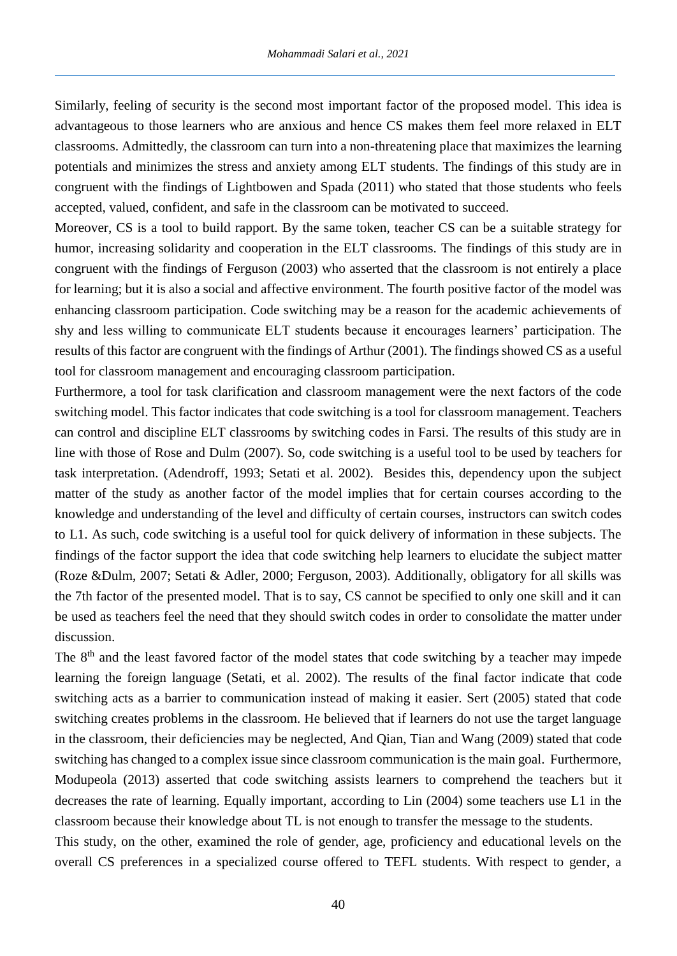Similarly, feeling of security is the second most important factor of the proposed model. This idea is advantageous to those learners who are anxious and hence CS makes them feel more relaxed in ELT classrooms. Admittedly, the classroom can turn into a non-threatening place that maximizes the learning potentials and minimizes the stress and anxiety among ELT students. The findings of this study are in congruent with the findings of Lightbowen and Spada (2011) who stated that those students who feels accepted, valued, confident, and safe in the classroom can be motivated to succeed.

Moreover, CS is a tool to build rapport. By the same token, teacher CS can be a suitable strategy for humor, increasing solidarity and cooperation in the ELT classrooms. The findings of this study are in congruent with the findings of Ferguson (2003) who asserted that the classroom is not entirely a place for learning; but it is also a social and affective environment. The fourth positive factor of the model was enhancing classroom participation. Code switching may be a reason for the academic achievements of shy and less willing to communicate ELT students because it encourages learners' participation. The results of this factor are congruent with the findings of Arthur (2001). The findings showed CS as a useful tool for classroom management and encouraging classroom participation.

Furthermore, a tool for task clarification and classroom management were the next factors of the code switching model. This factor indicates that code switching is a tool for classroom management. Teachers can control and discipline ELT classrooms by switching codes in Farsi. The results of this study are in line with those of Rose and Dulm (2007). So, code switching is a useful tool to be used by teachers for task interpretation. (Adendroff, 1993; Setati et al. 2002). Besides this, dependency upon the subject matter of the study as another factor of the model implies that for certain courses according to the knowledge and understanding of the level and difficulty of certain courses, instructors can switch codes to L1. As such, code switching is a useful tool for quick delivery of information in these subjects. The findings of the factor support the idea that code switching help learners to elucidate the subject matter (Roze &Dulm, 2007; Setati & Adler, 2000; Ferguson, 2003). Additionally, obligatory for all skills was the 7th factor of the presented model. That is to say, CS cannot be specified to only one skill and it can be used as teachers feel the need that they should switch codes in order to consolidate the matter under discussion.

The 8<sup>th</sup> and the least favored factor of the model states that code switching by a teacher may impede learning the foreign language (Setati, et al. 2002). The results of the final factor indicate that code switching acts as a barrier to communication instead of making it easier. Sert (2005) stated that code switching creates problems in the classroom. He believed that if learners do not use the target language in the classroom, their deficiencies may be neglected, And Qian, Tian and Wang (2009) stated that code switching has changed to a complex issue since classroom communication is the main goal. Furthermore, Modupeola (2013) asserted that code switching assists learners to comprehend the teachers but it decreases the rate of learning. Equally important, according to Lin (2004) some teachers use L1 in the classroom because their knowledge about TL is not enough to transfer the message to the students.

This study, on the other, examined the role of gender, age, proficiency and educational levels on the overall CS preferences in a specialized course offered to TEFL students. With respect to gender, a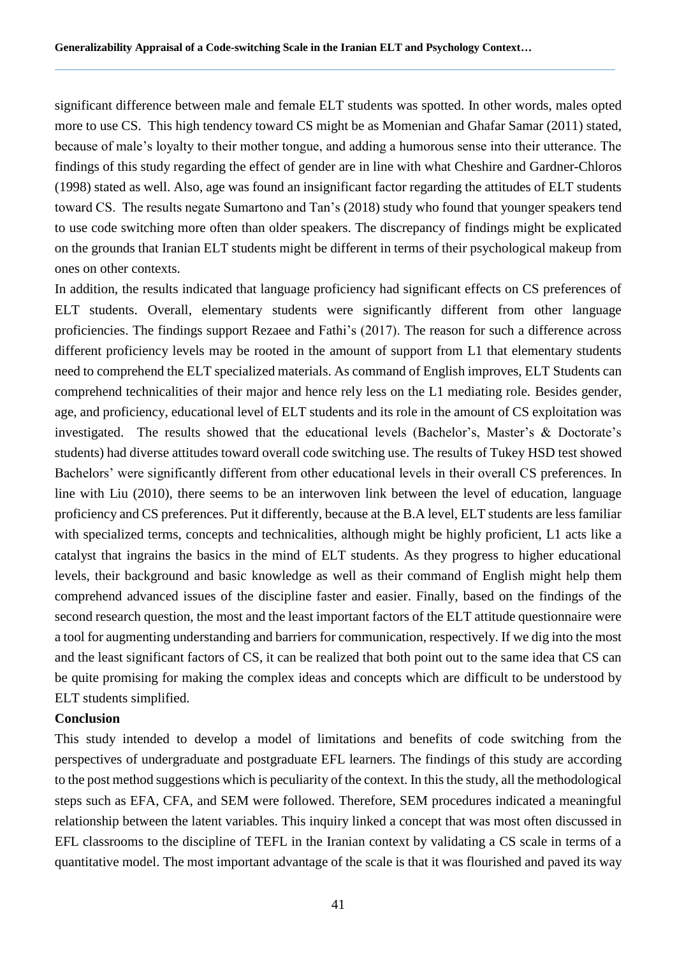significant difference between male and female ELT students was spotted. In other words, males opted more to use CS. This high tendency toward CS might be as Momenian and Ghafar Samar (2011) stated, because of male's loyalty to their mother tongue, and adding a humorous sense into their utterance. The findings of this study regarding the effect of gender are in line with what Cheshire and Gardner-Chloros (1998) stated as well. Also, age was found an insignificant factor regarding the attitudes of ELT students toward CS. The results negate Sumartono and Tan's (2018) study who found that younger speakers tend to use code switching more often than older speakers. The discrepancy of findings might be explicated on the grounds that Iranian ELT students might be different in terms of their psychological makeup from ones on other contexts.

In addition, the results indicated that language proficiency had significant effects on CS preferences of ELT students. Overall, elementary students were significantly different from other language proficiencies. The findings support Rezaee and Fathi's (2017). The reason for such a difference across different proficiency levels may be rooted in the amount of support from L1 that elementary students need to comprehend the ELT specialized materials. As command of English improves, ELT Students can comprehend technicalities of their major and hence rely less on the L1 mediating role. Besides gender, age, and proficiency, educational level of ELT students and its role in the amount of CS exploitation was investigated. The results showed that the educational levels (Bachelor's, Master's & Doctorate's students) had diverse attitudes toward overall code switching use. The results of Tukey HSD test showed Bachelors' were significantly different from other educational levels in their overall CS preferences. In line with Liu (2010), there seems to be an interwoven link between the level of education, language proficiency and CS preferences. Put it differently, because at the B.A level, ELT students are less familiar with specialized terms, concepts and technicalities, although might be highly proficient, L1 acts like a catalyst that ingrains the basics in the mind of ELT students. As they progress to higher educational levels, their background and basic knowledge as well as their command of English might help them comprehend advanced issues of the discipline faster and easier. Finally, based on the findings of the second research question, the most and the least important factors of the ELT attitude questionnaire were a tool for augmenting understanding and barriers for communication, respectively. If we dig into the most and the least significant factors of CS, it can be realized that both point out to the same idea that CS can be quite promising for making the complex ideas and concepts which are difficult to be understood by ELT students simplified.

# **Conclusion**

This study intended to develop a model of limitations and benefits of code switching from the perspectives of undergraduate and postgraduate EFL learners. The findings of this study are according to the post method suggestions which is peculiarity of the context. In this the study, all the methodological steps such as EFA, CFA, and SEM were followed. Therefore, SEM procedures indicated a meaningful relationship between the latent variables. This inquiry linked a concept that was most often discussed in EFL classrooms to the discipline of TEFL in the Iranian context by validating a CS scale in terms of a quantitative model. The most important advantage of the scale is that it was flourished and paved its way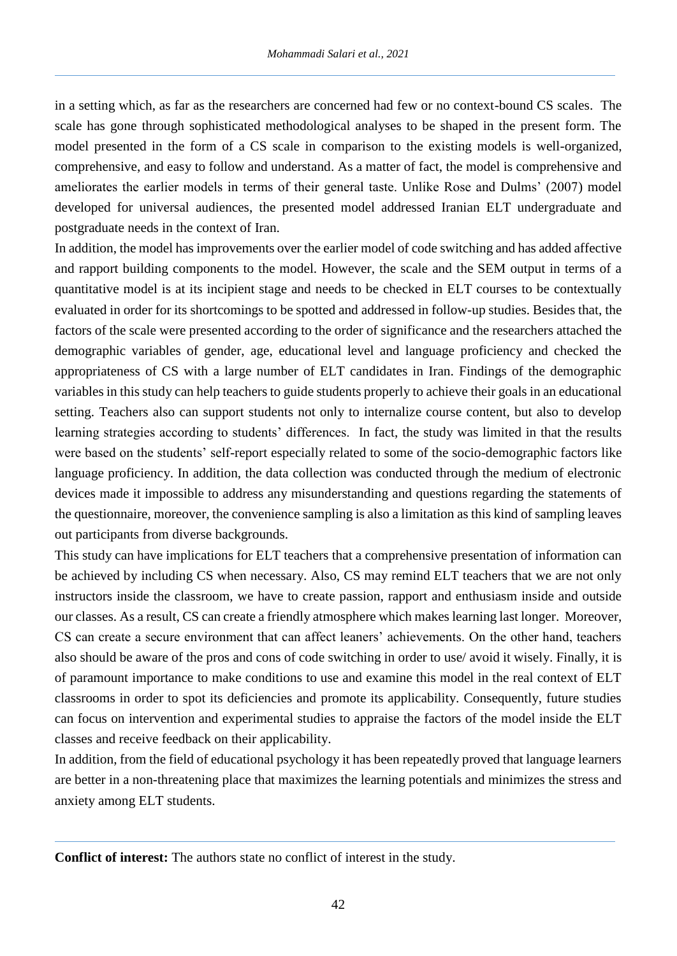in a setting which, as far as the researchers are concerned had few or no context-bound CS scales. The scale has gone through sophisticated methodological analyses to be shaped in the present form. The model presented in the form of a CS scale in comparison to the existing models is well-organized, comprehensive, and easy to follow and understand. As a matter of fact, the model is comprehensive and ameliorates the earlier models in terms of their general taste. Unlike Rose and Dulms' (2007) model developed for universal audiences, the presented model addressed Iranian ELT undergraduate and postgraduate needs in the context of Iran.

In addition, the model has improvements over the earlier model of code switching and has added affective and rapport building components to the model. However, the scale and the SEM output in terms of a quantitative model is at its incipient stage and needs to be checked in ELT courses to be contextually evaluated in order for its shortcomings to be spotted and addressed in follow-up studies. Besides that, the factors of the scale were presented according to the order of significance and the researchers attached the demographic variables of gender, age, educational level and language proficiency and checked the appropriateness of CS with a large number of ELT candidates in Iran. Findings of the demographic variables in this study can help teachers to guide students properly to achieve their goals in an educational setting. Teachers also can support students not only to internalize course content, but also to develop learning strategies according to students' differences. In fact, the study was limited in that the results were based on the students' self-report especially related to some of the socio-demographic factors like language proficiency. In addition, the data collection was conducted through the medium of electronic devices made it impossible to address any misunderstanding and questions regarding the statements of the questionnaire, moreover, the convenience sampling is also a limitation as this kind of sampling leaves out participants from diverse backgrounds.

This study can have implications for ELT teachers that a comprehensive presentation of information can be achieved by including CS when necessary. Also, CS may remind ELT teachers that we are not only instructors inside the classroom, we have to create passion, rapport and enthusiasm inside and outside our classes. As a result, CS can create a friendly atmosphere which makes learning last longer. Moreover, CS can create a secure environment that can affect leaners' achievements. On the other hand, teachers also should be aware of the pros and cons of code switching in order to use/ avoid it wisely. Finally, it is of paramount importance to make conditions to use and examine this model in the real context of ELT classrooms in order to spot its deficiencies and promote its applicability. Consequently, future studies can focus on intervention and experimental studies to appraise the factors of the model inside the ELT classes and receive feedback on their applicability.

In addition, from the field of educational psychology it has been repeatedly proved that language learners are better in a non-threatening place that maximizes the learning potentials and minimizes the stress and anxiety among ELT students.

**Conflict of interest:** The authors state no conflict of interest in the study.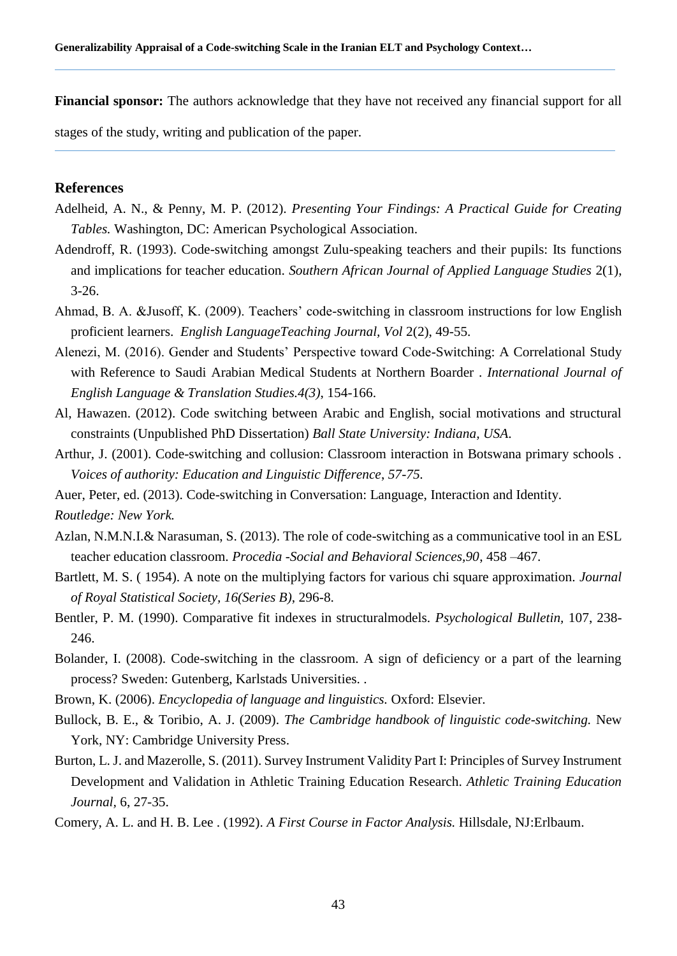**Financial sponsor:** The authors acknowledge that they have not received any financial support for all

stages of the study, writing and publication of the paper.

#### **References**

- Adelheid, A. N., & Penny, M. P. (2012). *Presenting Your Findings: A Practical Guide for Creating Tables.* Washington, DC: American Psychological Association.
- Adendroff, R. (1993). Code-switching amongst Zulu-speaking teachers and their pupils: Its functions and implications for teacher education. *Southern African Journal of Applied Language Studies* 2(1), 3-26.
- Ahmad, B. A. &Jusoff, K. (2009). Teachers' code-switching in classroom instructions for low English proficient learners. *English LanguageTeaching Journal, Vol* 2(2), 49-55.
- Alenezi, M. (2016). Gender and Students' Perspective toward Code-Switching: A Correlational Study with Reference to Saudi Arabian Medical Students at Northern Boarder . *International Journal of English Language & Translation Studies.4(3)*, 154-166.
- Al, Hawazen. (2012). Code switching between Arabic and English, social motivations and structural constraints (Unpublished PhD Dissertation) *Ball State University: Indiana, USA*.
- Arthur, J. (2001). Code-switching and collusion: Classroom interaction in Botswana primary schools . *Voices of authority: Education and Linguistic Difference*, *57-75.*
- Auer, Peter, ed. (2013). Code-switching in Conversation: Language, Interaction and Identity.

*Routledge: New York.*

- Azlan, N.M.N.I.& Narasuman, S. (2013). The role of code-switching as a communicative tool in an ESL teacher education classroom. *Procedia -Social and Behavioral Sciences,90*, 458 –467.
- Bartlett, M. S. ( 1954). A note on the multiplying factors for various chi square approximation. *Journal of Royal Statistical Society, 16(Series B)*, 296-8.
- Bentler, P. M. (1990). Comparative fit indexes in structuralmodels. *Psychological Bulletin,* 107, 238- 246.
- Bolander, I. (2008). Code-switching in the classroom. A sign of deficiency or a part of the learning process? Sweden: Gutenberg, Karlstads Universities. .
- Brown, K. (2006). *Encyclopedia of language and linguistics.* Oxford: Elsevier.
- Bullock, B. E., & Toribio, A. J. (2009). *The Cambridge handbook of linguistic code-switching.* New York, NY: Cambridge University Press.
- Burton, L. J. and Mazerolle, S. (2011). Survey Instrument Validity Part I: Principles of Survey Instrument Development and Validation in Athletic Training Education Research. *Athletic Training Education Journal,* 6, 27-35.
- Comery, A. L. and H. B. Lee . (1992). *A First Course in Factor Analysis.* Hillsdale, NJ:Erlbaum.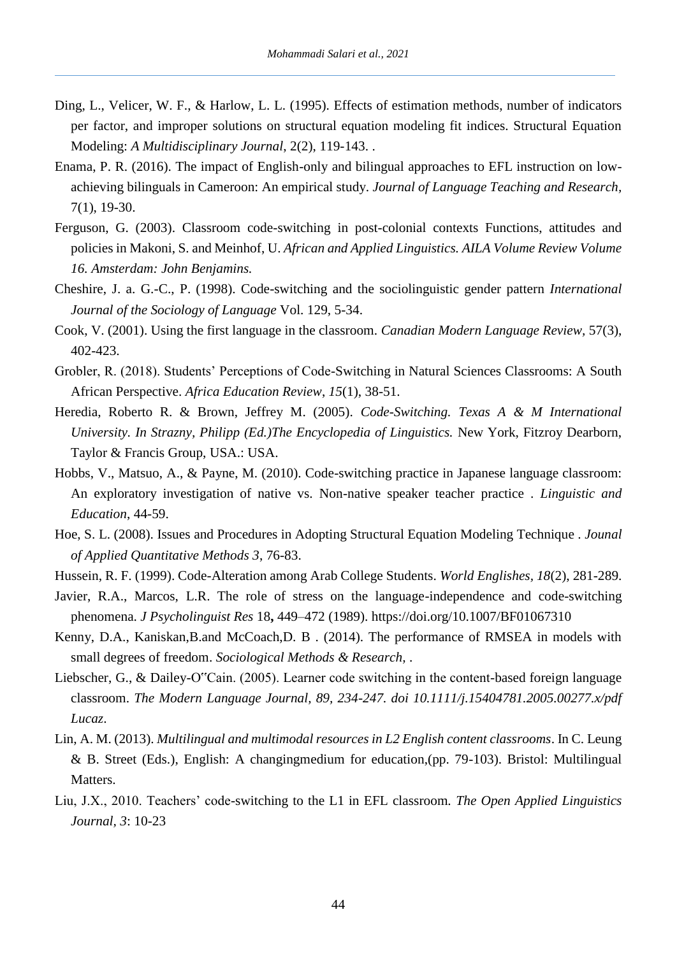- Ding, L., Velicer, W. F., & Harlow, L. L. (1995). Effects of estimation methods, number of indicators per factor, and improper solutions on structural equation modeling fit indices. Structural Equation Modeling: *A Multidisciplinary Journal*, 2(2), 119-143. .
- Enama, P. R. (2016). The impact of English-only and bilingual approaches to EFL instruction on lowachieving bilinguals in Cameroon: An empirical study. *Journal of Language Teaching and Research,*  7(1), 19-30.
- Ferguson, G. (2003). Classroom code-switching in post-colonial contexts Functions, attitudes and policies in Makoni, S. and Meinhof, U. *African and Applied Linguistics. AILA Volume Review Volume 16. Amsterdam: John Benjamins.*
- Cheshire, J. a. G.-C., P. (1998). Code-switching and the sociolinguistic gender pattern *International Journal of the Sociology of Language* Vol. 129, 5-34.
- Cook, V. (2001). Using the first language in the classroom. *Canadian Modern Language Review,* 57(3), 402-423.
- Grobler, R. (2018). Students' Perceptions of Code-Switching in Natural Sciences Classrooms: A South African Perspective. *Africa Education Review*, *15*(1), 38-51.
- Heredia, Roberto R. & Brown, Jeffrey M. (2005). *Code-Switching. Texas A & M International University. In Strazny, Philipp (Ed.)The Encyclopedia of Linguistics.* New York, Fitzroy Dearborn, Taylor & Francis Group, USA.: USA.
- Hobbs, V., Matsuo, A., & Payne, M. (2010). Code-switching practice in Japanese language classroom: An exploratory investigation of native vs. Non-native speaker teacher practice . *Linguistic and Education*, 44-59.
- Hoe, S. L. (2008). Issues and Procedures in Adopting Structural Equation Modeling Technique . *Jounal of Applied Quantitative Methods 3*, 76-83.
- Hussein, R. F. (1999). Code-Alteration among Arab College Students. *World Englishes, 18*(2), 281-289.
- Javier, R.A., Marcos, L.R. The role of stress on the language-independence and code-switching phenomena. *J Psycholinguist Res* 18**,** 449–472 (1989). https://doi.org/10.1007/BF01067310
- Kenny, D.A., Kaniskan,B.and McCoach,D. B . (2014). The performance of RMSEA in models with small degrees of freedom. *Sociological Methods & Research,* .
- Liebscher, G., & Dailey-O"Cain. (2005). Learner code switching in the content-based foreign language classroom. *The Modern Language Journal, 89, 234-247. doi 10.1111/j.15404781.2005.00277.x/pdf Lucaz*.
- Lin, A. M. (2013). *Multilingual and multimodal resources in L2 English content classrooms*. In C. Leung & B. Street (Eds.), English: A changingmedium for education,(pp. 79-103). Bristol: Multilingual Matters.
- Liu, J.X., 2010. Teachers' code-switching to the L1 in EFL classroom*. The Open Applied Linguistics Journal, 3*: 10-23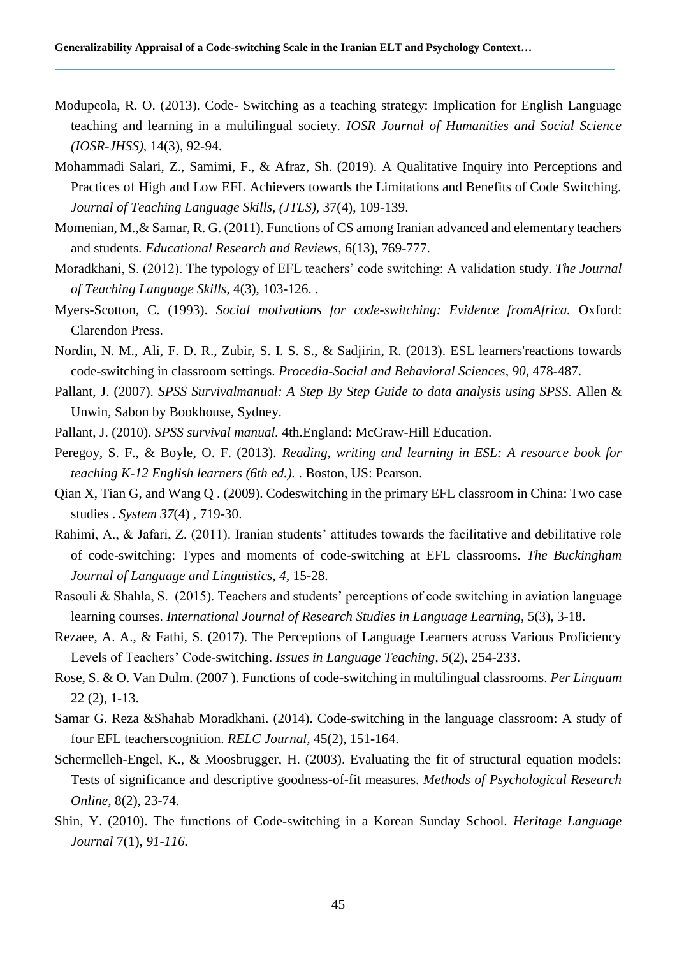- Modupeola, R. O. (2013). Code- Switching as a teaching strategy: Implication for English Language teaching and learning in a multilingual society. *IOSR Journal of Humanities and Social Science (IOSR-JHSS),* 14(3), 92-94.
- Mohammadi Salari, Z., Samimi, F., & Afraz, Sh. (2019). A Qualitative Inquiry into Perceptions and Practices of High and Low EFL Achievers towards the Limitations and Benefits of Code Switching. *Journal of Teaching Language Skills, (JTLS),* 37(4), 109-139.
- Momenian, M.,& Samar, R. G. (2011). Functions of CS among Iranian advanced and elementary teachers and students*. Educational Research and Reviews,* 6(13), 769-777.
- Moradkhani, S. (2012). The typology of EFL teachers' code switching: A validation study. *The Journal of Teaching Language Skills*, 4(3), 103-126. .
- Myers-Scotton, C. (1993). *Social motivations for code-switching: Evidence fromAfrica.* Oxford: Clarendon Press.
- Nordin, N. M., Ali, F. D. R., Zubir, S. I. S. S., & Sadjirin, R. (2013). ESL learners'reactions towards code-switching in classroom settings. *Procedia-Social and Behavioral Sciences, 90,* 478-487.
- Pallant, J. (2007). *SPSS Survivalmanual: A Step By Step Guide to data analysis using SPSS.* Allen & Unwin, Sabon by Bookhouse, Sydney.
- Pallant, J. (2010). *SPSS survival manual.* 4th.England: McGraw-Hill Education.
- Peregoy, S. F., & Boyle, O. F. (2013). *Reading, writing and learning in ESL: A resource book for teaching K-12 English learners (6th ed.).* . Boston, US: Pearson.
- Qian X, Tian G, and Wang Q . (2009). Codeswitching in the primary EFL classroom in China: Two case studies . *System 37*(4) , 719-30.
- Rahimi, A., & Jafari, Z. (2011). Iranian students' attitudes towards the facilitative and debilitative role of code-switching: Types and moments of code-switching at EFL classrooms. *The Buckingham Journal of Language and Linguistics, 4,* 15-28.
- Rasouli & Shahla, S. (2015). Teachers and students' perceptions of code switching in aviation language learning courses. *International Journal of Research Studies in Language Learning*, 5(3), 3-18.
- Rezaee, A. A., & Fathi, S. (2017). The Perceptions of Language Learners across Various Proficiency Levels of Teachers' Code-switching. *Issues in Language Teaching*, *5*(2), 254-233.
- Rose, S. & O. Van Dulm. (2007 ). Functions of code-switching in multilingual classrooms. *Per Linguam*  22 (2), 1-13.
- Samar G. Reza &Shahab Moradkhani. (2014). Code-switching in the language classroom: A study of four EFL teacherscognition. *RELC Journal,* 45(2), 151-164.
- Schermelleh-Engel, K., & Moosbrugger, H. (2003). Evaluating the fit of structural equation models: Tests of significance and descriptive goodness-of-fit measures. *Methods of Psychological Research Online,* 8(2), 23-74.
- Shin, Y. (2010). The functions of Code-switching in a Korean Sunday School. *Heritage Language Journal* 7(1), *91-116.*